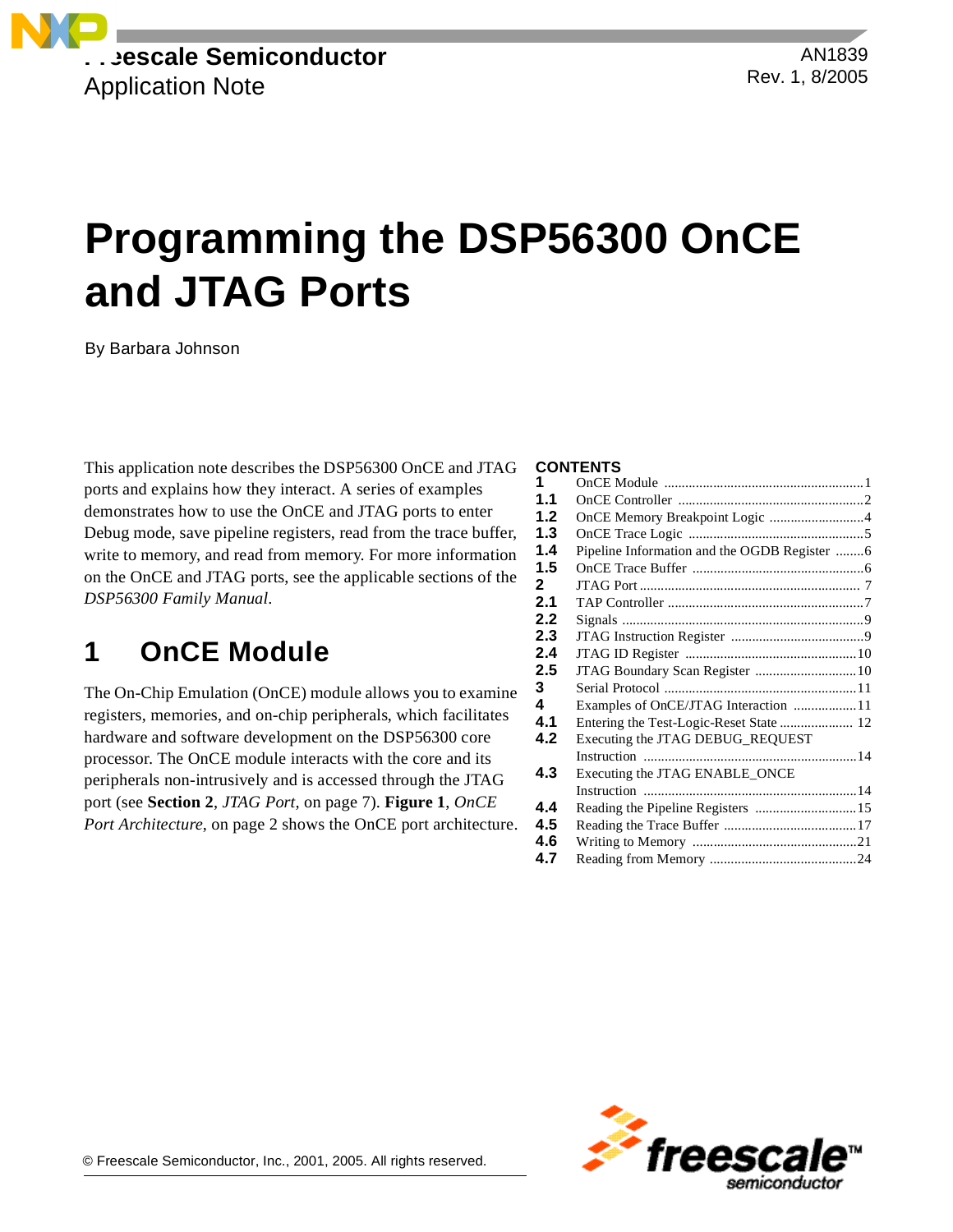**Freescale Semiconductor** Application Note

# **Programming the DSP56300 OnCE and JTAG Ports**

By Barbara Johnson

This application note describes the DSP56300 OnCE and JTAG ports and explains how they interact. A series of examples demonstrates how to use the OnCE and JTAG ports to enter Debug mode, save pipeline registers, read from the trace buffer, write to memory, and read from memory. For more information on the OnCE and JTAG ports, see the applicable sections of the *DSP56300 Family Manual*.

# **1 OnCE Module**

The On-Chip Emulation (OnCE) module allows you to examine registers, memories, and on-chip peripherals, which facilitates hardware and software development on the DSP56300 core processor. The OnCE module interacts with the core and its peripherals non-intrusively and is accessed through the JTAG port (see **Section 2**, *[JTAG Port,](#page-6-0)* on page 7). **[Figure 1](#page-1-0)**, *OnCE [Port Architecture](#page-1-0)*, on page 2 shows the OnCE port architecture.

### **CONTENTS**

| 1                |                                              |  |
|------------------|----------------------------------------------|--|
| 1.1              |                                              |  |
| 1.2              | OnCE Memory Breakpoint Logic 4               |  |
| 1.3              |                                              |  |
| 1.4              | Pipeline Information and the OGDB Register 6 |  |
| 1.5              |                                              |  |
| $\mathbf{2}$     |                                              |  |
| 2.1              |                                              |  |
| 2.2              |                                              |  |
| 2.3              |                                              |  |
| 2.4              |                                              |  |
| $2.5\phantom{0}$ |                                              |  |
| 3                |                                              |  |
| 4                | Examples of OnCE/JTAG Interaction 11         |  |
| 4.1              |                                              |  |
| 4.2              | Executing the JTAG DEBUG_REQUEST             |  |
|                  |                                              |  |
| 4.3              | Executing the JTAG ENABLE_ONCE               |  |
|                  |                                              |  |
| 4.4              | Reading the Pipeline Registers  15           |  |
| 4.5              |                                              |  |
| 4.6              |                                              |  |
| 4.7              |                                              |  |
|                  |                                              |  |

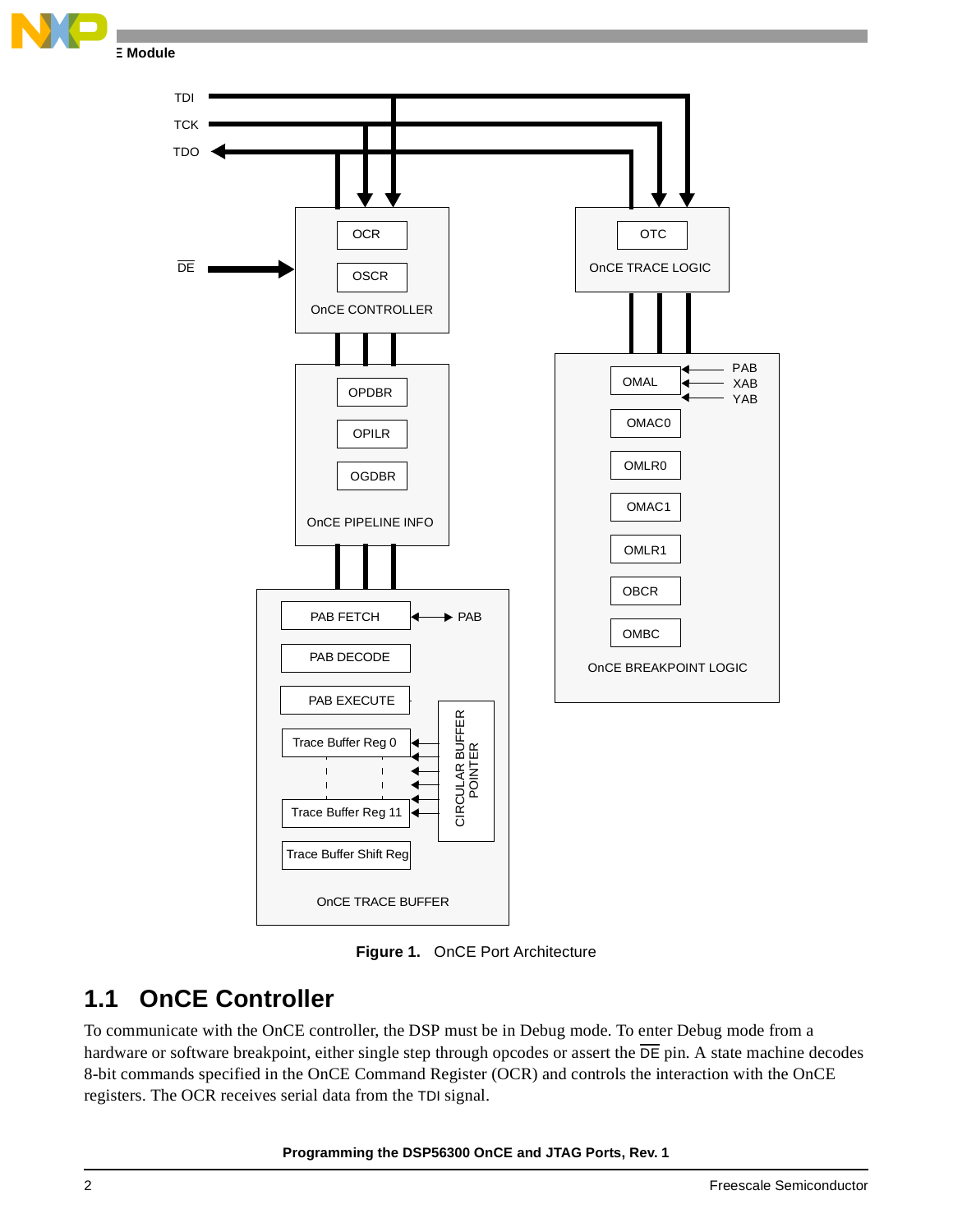





**Figure 1.** OnCE Port Architecture

### <span id="page-1-0"></span>**1.1 OnCE Controller**

To communicate with the OnCE controller, the DSP must be in Debug mode. To enter Debug mode from a hardware or software breakpoint, either single step through opcodes or assert the  $\overline{DE}$  pin. A state machine decodes 8-bit commands specified in the OnCE Command Register (OCR) and controls the interaction with the OnCE registers. The OCR receives serial data from the TDI signal.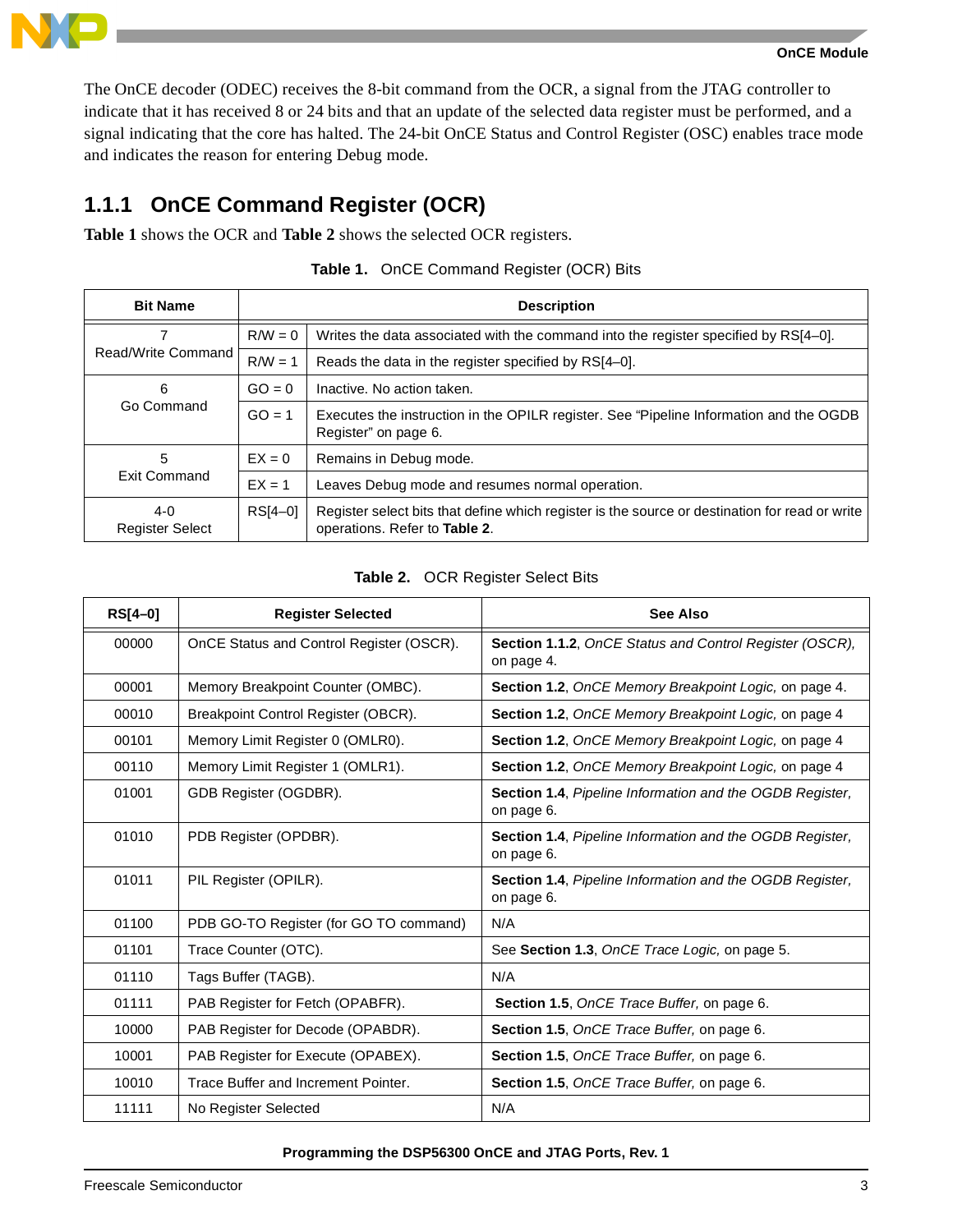**OnCE Module**

The OnCE decoder (ODEC) receives the 8-bit command from the OCR, a signal from the JTAG controller to indicate that it has received 8 or 24 bits and that an update of the selected data register must be performed, and a signal indicating that the core has halted. The 24-bit OnCE Status and Control Register (OSC) enables trace mode and indicates the reason for entering Debug mode.

### **1.1.1 OnCE Command Register (OCR)**

**[Table 1](#page-2-0)** shows the OCR and **[Table 2](#page-2-1)** shows the selected OCR registers.

<span id="page-2-0"></span>

| <b>Bit Name</b>                   | <b>Description</b> |                                                                                                                                 |  |  |  |
|-----------------------------------|--------------------|---------------------------------------------------------------------------------------------------------------------------------|--|--|--|
|                                   | $R/W = 0$          | Writes the data associated with the command into the register specified by RS[4-0].                                             |  |  |  |
| Read/Write Command                | $R/W = 1$          | Reads the data in the register specified by RS[4–0].                                                                            |  |  |  |
| 6                                 | $GO = 0$           | Inactive. No action taken.                                                                                                      |  |  |  |
| Go Command                        | $GO = 1$           | Executes the instruction in the OPILR register. See "Pipeline Information and the OGDB<br>Register" on page 6.                  |  |  |  |
| 5                                 | $EX = 0$           | Remains in Debug mode.                                                                                                          |  |  |  |
| <b>Exit Command</b>               | $EX = 1$           | Leaves Debug mode and resumes normal operation.                                                                                 |  |  |  |
| $4 - 0$<br><b>Register Select</b> | RS[4-0]            | Register select bits that define which register is the source or destination for read or write<br>operations. Refer to Table 2. |  |  |  |

|  |  | Table 1. OnCE Command Register (OCR) Bits |  |  |  |
|--|--|-------------------------------------------|--|--|--|
|--|--|-------------------------------------------|--|--|--|

### **Table 2.** OCR Register Select Bits

<span id="page-2-1"></span>

| $RS[4-0]$ | <b>Register Selected</b>                 | See Also                                                                      |
|-----------|------------------------------------------|-------------------------------------------------------------------------------|
| 00000     | OnCE Status and Control Register (OSCR). | Section 1.1.2, OnCE Status and Control Register (OSCR),<br>on page 4.         |
| 00001     | Memory Breakpoint Counter (OMBC).        | Section 1.2, OnCE Memory Breakpoint Logic, on page 4.                         |
| 00010     | Breakpoint Control Register (OBCR).      | Section 1.2, OnCE Memory Breakpoint Logic, on page 4                          |
| 00101     | Memory Limit Register 0 (OMLR0).         | Section 1.2, OnCE Memory Breakpoint Logic, on page 4                          |
| 00110     | Memory Limit Register 1 (OMLR1).         | Section 1.2, OnCE Memory Breakpoint Logic, on page 4                          |
| 01001     | GDB Register (OGDBR).                    | <b>Section 1.4, Pipeline Information and the OGDB Register,</b><br>on page 6. |
| 01010     | PDB Register (OPDBR).                    | Section 1.4, Pipeline Information and the OGDB Register,<br>on page 6.        |
| 01011     | PIL Register (OPILR).                    | Section 1.4, Pipeline Information and the OGDB Register,<br>on page 6.        |
| 01100     | PDB GO-TO Register (for GO TO command)   | N/A                                                                           |
| 01101     | Trace Counter (OTC).                     | See Section 1.3, OnCE Trace Logic, on page 5.                                 |
| 01110     | Tags Buffer (TAGB).                      | N/A                                                                           |
| 01111     | PAB Register for Fetch (OPABFR).         | <b>Section 1.5, OnCE Trace Buffer, on page 6.</b>                             |
| 10000     | PAB Register for Decode (OPABDR).        | <b>Section 1.5, OnCE Trace Buffer, on page 6.</b>                             |
| 10001     | PAB Register for Execute (OPABEX).       | Section 1.5, OnCE Trace Buffer, on page 6.                                    |
| 10010     | Trace Buffer and Increment Pointer.      | Section 1.5, OnCE Trace Buffer, on page 6.                                    |
| 11111     | No Register Selected                     | N/A                                                                           |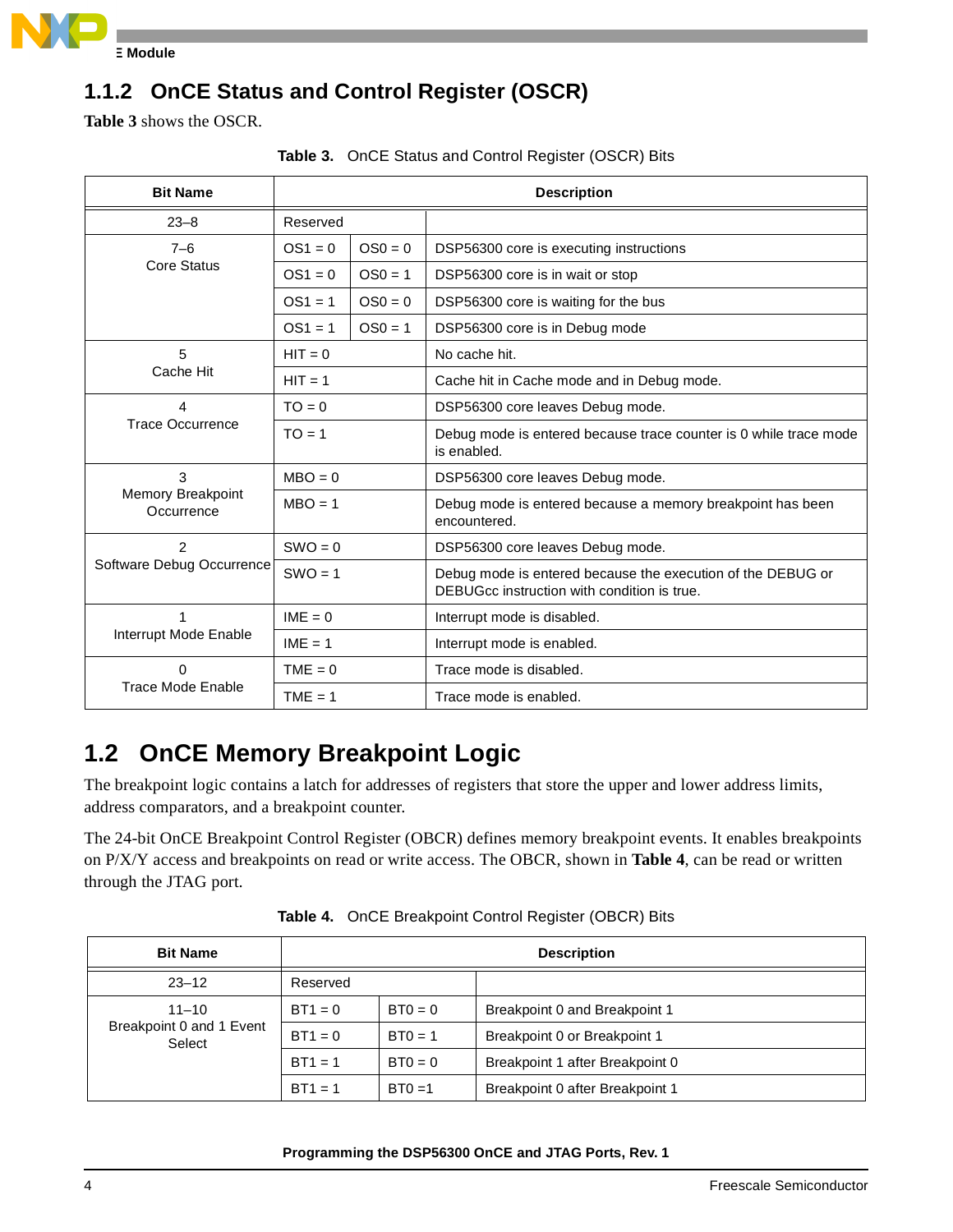

### <span id="page-3-0"></span>**1.1.2 OnCE Status and Control Register (OSCR)**

<span id="page-3-2"></span>**[Table 3](#page-3-2)** shows the OSCR.

|                 |                  | <b>Table 3.</b> Once Status and Control Register (OSCR) Bits |  |
|-----------------|------------------|--------------------------------------------------------------|--|
| <b>Bit Name</b> |                  | <b>Description</b>                                           |  |
| ററ o            | <b>Dononical</b> |                                                              |  |

|  | Table 3. OnCE Status and Control Register (OSCR) Bits |  |  |
|--|-------------------------------------------------------|--|--|

| $23 - 8$                        | Reserved  |           |                                                                                                            |  |
|---------------------------------|-----------|-----------|------------------------------------------------------------------------------------------------------------|--|
| $7 - 6$                         | $OS1 = 0$ | $OS0 = 0$ | DSP56300 core is executing instructions                                                                    |  |
| Core Status                     | $OS1 = 0$ | $OS0 = 1$ | DSP56300 core is in wait or stop                                                                           |  |
|                                 | $OS1 = 1$ | $OS0 = 0$ | DSP56300 core is waiting for the bus                                                                       |  |
|                                 | $OS1 = 1$ | $OS0 = 1$ | DSP56300 core is in Debug mode                                                                             |  |
| 5                               | $HIT = 0$ |           | No cache hit.                                                                                              |  |
| Cache Hit                       | $HIT = 1$ |           | Cache hit in Cache mode and in Debug mode.                                                                 |  |
| 4                               | $TO = 0$  |           | DSP56300 core leaves Debug mode.                                                                           |  |
| <b>Trace Occurrence</b>         | $TO = 1$  |           | Debug mode is entered because trace counter is 0 while trace mode<br>is enabled.                           |  |
| 3                               | $MBO = 0$ |           | DSP56300 core leaves Debug mode.                                                                           |  |
| Memory Breakpoint<br>Occurrence | $MBO = 1$ |           | Debug mode is entered because a memory breakpoint has been<br>encountered.                                 |  |
| $\overline{2}$                  | $SWO = 0$ |           | DSP56300 core leaves Debug mode.                                                                           |  |
| Software Debug Occurrence       | $SWO = 1$ |           | Debug mode is entered because the execution of the DEBUG or<br>DEBUGcc instruction with condition is true. |  |
| 1                               | $IME = 0$ |           | Interrupt mode is disabled.                                                                                |  |
| Interrupt Mode Enable           | $IME = 1$ |           | Interrupt mode is enabled.                                                                                 |  |
| 0                               | $TME = 0$ |           | Trace mode is disabled.                                                                                    |  |
| Trace Mode Enable               | $TME = 1$ |           | Trace mode is enabled.                                                                                     |  |

# <span id="page-3-1"></span>**1.2 OnCE Memory Breakpoint Logic**

The breakpoint logic contains a latch for addresses of registers that store the upper and lower address limits, address comparators, and a breakpoint counter.

The 24-bit OnCE Breakpoint Control Register (OBCR) defines memory breakpoint events. It enables breakpoints on P/X/Y access and breakpoints on read or write access. The OBCR, shown in **[Table 4](#page-3-3)**, can be read or written through the JTAG port.

<span id="page-3-3"></span>

| <b>Bit Name</b>                    |           |           | <b>Description</b>              |  |  |
|------------------------------------|-----------|-----------|---------------------------------|--|--|
| $23 - 12$                          | Reserved  |           |                                 |  |  |
| $11 - 10$                          | $BT1 = 0$ | $BT0 = 0$ | Breakpoint 0 and Breakpoint 1   |  |  |
| Breakpoint 0 and 1 Event<br>Select | $BT1 = 0$ | $BT0 = 1$ | Breakpoint 0 or Breakpoint 1    |  |  |
|                                    | $BT1 = 1$ | $BT0 = 0$ | Breakpoint 1 after Breakpoint 0 |  |  |
|                                    | $BT1 = 1$ | $BT0 = 1$ | Breakpoint 0 after Breakpoint 1 |  |  |

**Table 4.** OnCE Breakpoint Control Register (OBCR) Bits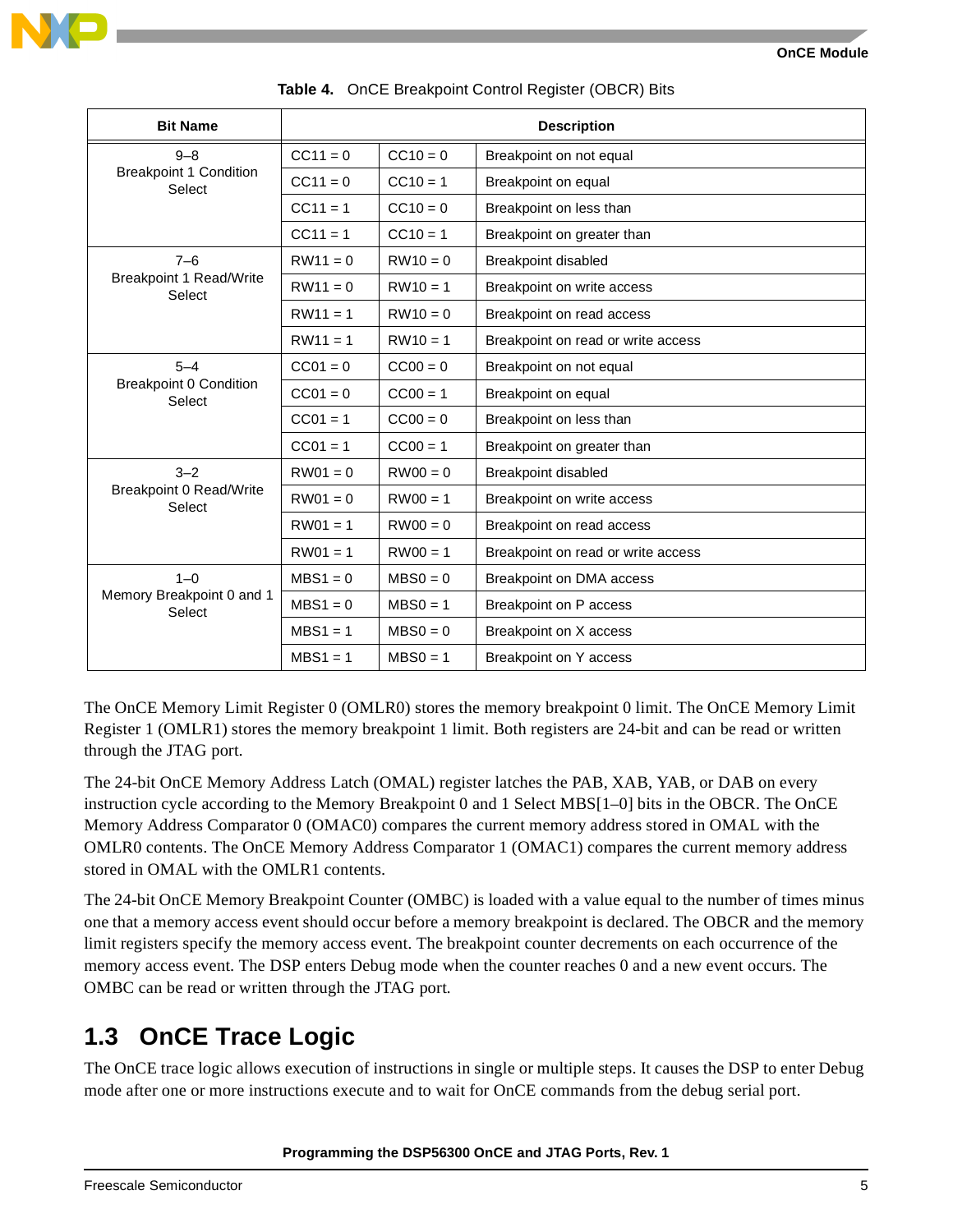| <b>Bit Name</b>                          |            |            | <b>Description</b>                 |
|------------------------------------------|------------|------------|------------------------------------|
| $9 - 8$                                  | $CC11 = 0$ | $CC10 = 0$ | Breakpoint on not equal            |
| <b>Breakpoint 1 Condition</b><br>Select  | $CC11 = 0$ | $CC10 = 1$ | Breakpoint on equal                |
|                                          | $CC11 = 1$ | $CC10 = 0$ | Breakpoint on less than            |
|                                          | $CC11 = 1$ | $CC10 = 1$ | Breakpoint on greater than         |
| $7 - 6$                                  | $RW11 = 0$ | $RW10 = 0$ | Breakpoint disabled                |
| <b>Breakpoint 1 Read/Write</b><br>Select | $RW11 = 0$ | $RW10 = 1$ | Breakpoint on write access         |
|                                          | $RW11 = 1$ | $RW10 = 0$ | Breakpoint on read access          |
|                                          | $RW11 = 1$ | $RW10 = 1$ | Breakpoint on read or write access |
| $5 - 4$                                  | $CC01 = 0$ | $CC00 = 0$ | Breakpoint on not equal            |
| <b>Breakpoint 0 Condition</b><br>Select  | $CC01 = 0$ | $CC00 = 1$ | Breakpoint on equal                |
|                                          | $CC01 = 1$ | $CC00 = 0$ | Breakpoint on less than            |
|                                          | $CC01 = 1$ | $CC00 = 1$ | Breakpoint on greater than         |
| $3 - 2$                                  | $RW01 = 0$ | $RW00 = 0$ | Breakpoint disabled                |
| <b>Breakpoint 0 Read/Write</b><br>Select | $RW01 = 0$ | $RW00 = 1$ | Breakpoint on write access         |
|                                          | $RW01 = 1$ | $RW00 = 0$ | Breakpoint on read access          |
|                                          | $RW01 = 1$ | $RW00 = 1$ | Breakpoint on read or write access |
| $1 - 0$                                  | $MBS1 = 0$ | $MBSO = 0$ | Breakpoint on DMA access           |
| Memory Breakpoint 0 and 1<br>Select      | $MBS1 = 0$ | $MBSO = 1$ | Breakpoint on P access             |
|                                          | $MBS1 = 1$ | $MBSO = 0$ | Breakpoint on X access             |
|                                          | $MBS1 = 1$ | $MBSO = 1$ | Breakpoint on Y access             |

**Table 4.** OnCE Breakpoint Control Register (OBCR) Bits

The OnCE Memory Limit Register 0 (OMLR0) stores the memory breakpoint 0 limit. The OnCE Memory Limit Register 1 (OMLR1) stores the memory breakpoint 1 limit. Both registers are 24-bit and can be read or written through the JTAG port.

The 24-bit OnCE Memory Address Latch (OMAL) register latches the PAB, XAB, YAB, or DAB on every instruction cycle according to the Memory Breakpoint 0 and 1 Select MBS[1–0] bits in the OBCR. The OnCE Memory Address Comparator 0 (OMAC0) compares the current memory address stored in OMAL with the OMLR0 contents. The OnCE Memory Address Comparator 1 (OMAC1) compares the current memory address stored in OMAL with the OMLR1 contents.

The 24-bit OnCE Memory Breakpoint Counter (OMBC) is loaded with a value equal to the number of times minus one that a memory access event should occur before a memory breakpoint is declared. The OBCR and the memory limit registers specify the memory access event. The breakpoint counter decrements on each occurrence of the memory access event. The DSP enters Debug mode when the counter reaches 0 and a new event occurs. The OMBC can be read or written through the JTAG port.

# <span id="page-4-0"></span>**1.3 OnCE Trace Logic**

The OnCE trace logic allows execution of instructions in single or multiple steps. It causes the DSP to enter Debug mode after one or more instructions execute and to wait for OnCE commands from the debug serial port.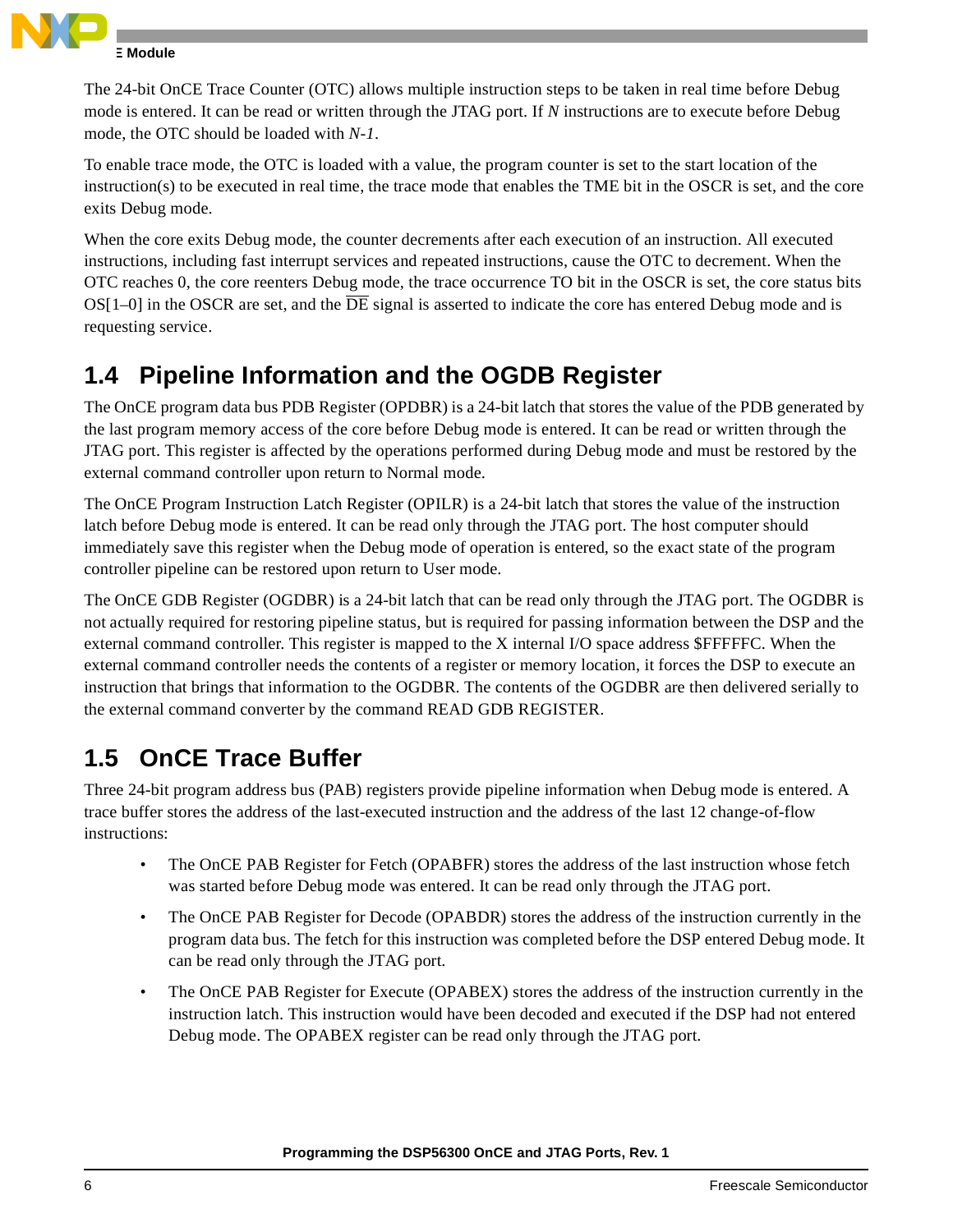

### **E** Module

The 24-bit OnCE Trace Counter (OTC) allows multiple instruction steps to be taken in real time before Debug mode is entered. It can be read or written through the JTAG port. If *N* instructions are to execute before Debug mode, the OTC should be loaded with *N-1*.

To enable trace mode, the OTC is loaded with a value, the program counter is set to the start location of the instruction(s) to be executed in real time, the trace mode that enables the TME bit in the OSCR is set, and the core exits Debug mode.

When the core exits Debug mode, the counter decrements after each execution of an instruction. All executed instructions, including fast interrupt services and repeated instructions, cause the OTC to decrement. When the OTC reaches 0, the core reenters Debug mode, the trace occurrence TO bit in the OSCR is set, the core status bits  $OS[1-0]$  in the OSCR are set, and the  $\overline{DE}$  signal is asserted to indicate the core has entered Debug mode and is requesting service.

### <span id="page-5-0"></span>**1.4 Pipeline Information and the OGDB Register**

The OnCE program data bus PDB Register (OPDBR) is a 24-bit latch that stores the value of the PDB generated by the last program memory access of the core before Debug mode is entered. It can be read or written through the JTAG port. This register is affected by the operations performed during Debug mode and must be restored by the external command controller upon return to Normal mode.

The OnCE Program Instruction Latch Register (OPILR) is a 24-bit latch that stores the value of the instruction latch before Debug mode is entered. It can be read only through the JTAG port. The host computer should immediately save this register when the Debug mode of operation is entered, so the exact state of the program controller pipeline can be restored upon return to User mode.

The OnCE GDB Register (OGDBR) is a 24-bit latch that can be read only through the JTAG port. The OGDBR is not actually required for restoring pipeline status, but is required for passing information between the DSP and the external command controller. This register is mapped to the X internal I/O space address \$FFFFFC. When the external command controller needs the contents of a register or memory location, it forces the DSP to execute an instruction that brings that information to the OGDBR. The contents of the OGDBR are then delivered serially to the external command converter by the command READ GDB REGISTER.

# <span id="page-5-1"></span>**1.5 OnCE Trace Buffer**

Three 24-bit program address bus (PAB) registers provide pipeline information when Debug mode is entered. A trace buffer stores the address of the last-executed instruction and the address of the last 12 change-of-flow instructions:

- The OnCE PAB Register for Fetch (OPABFR) stores the address of the last instruction whose fetch was started before Debug mode was entered. It can be read only through the JTAG port.
- The OnCE PAB Register for Decode (OPABDR) stores the address of the instruction currently in the program data bus. The fetch for this instruction was completed before the DSP entered Debug mode. It can be read only through the JTAG port.
- The OnCE PAB Register for Execute (OPABEX) stores the address of the instruction currently in the instruction latch. This instruction would have been decoded and executed if the DSP had not entered Debug mode. The OPABEX register can be read only through the JTAG port.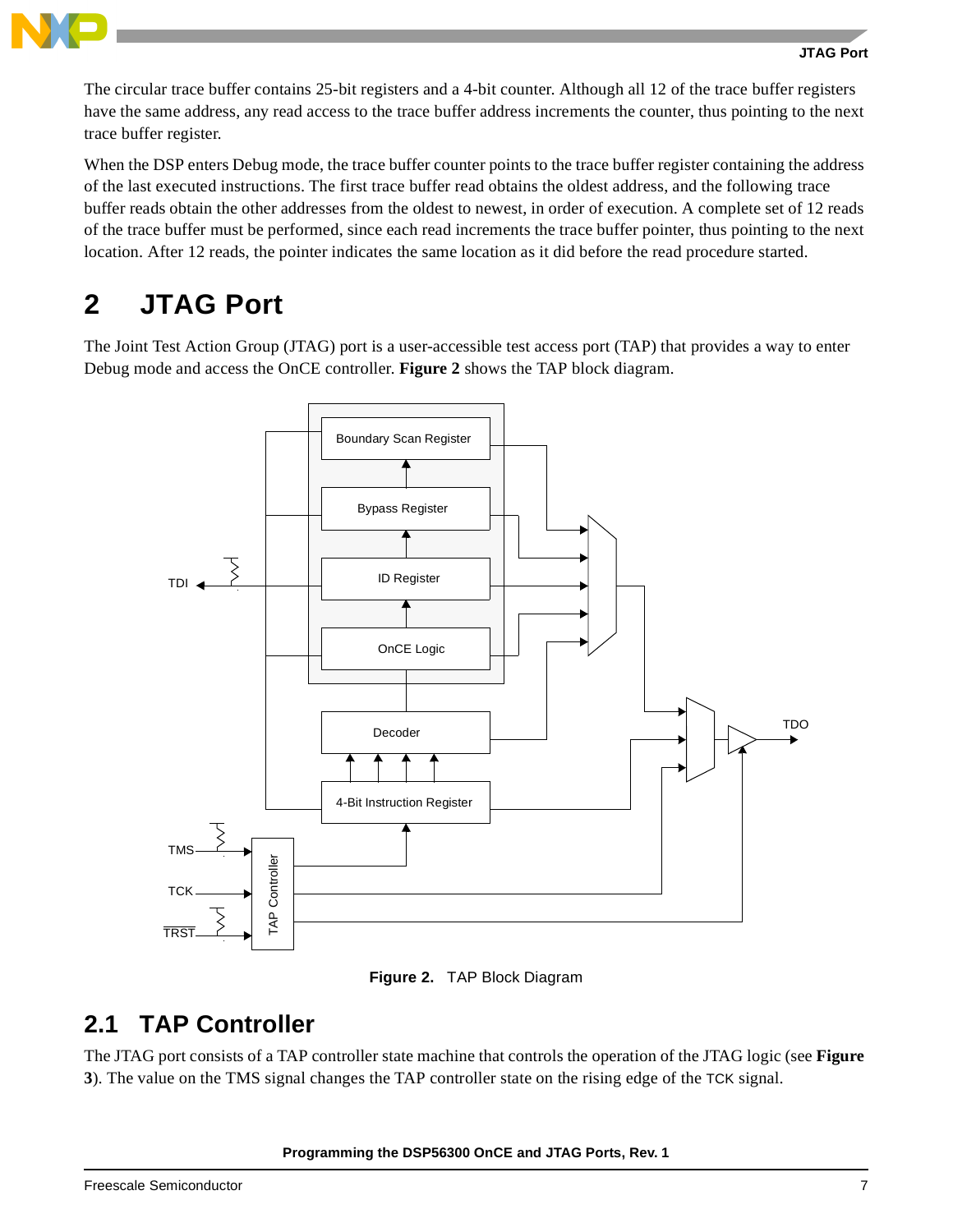

The circular trace buffer contains 25-bit registers and a 4-bit counter. Although all 12 of the trace buffer registers have the same address, any read access to the trace buffer address increments the counter, thus pointing to the next trace buffer register.

When the DSP enters Debug mode, the trace buffer counter points to the trace buffer register containing the address of the last executed instructions. The first trace buffer read obtains the oldest address, and the following trace buffer reads obtain the other addresses from the oldest to newest, in order of execution. A complete set of 12 reads of the trace buffer must be performed, since each read increments the trace buffer pointer, thus pointing to the next location. After 12 reads, the pointer indicates the same location as it did before the read procedure started.

# <span id="page-6-0"></span>**2 JTAG Port**

The Joint Test Action Group (JTAG) port is a user-accessible test access port (TAP) that provides a way to enter Debug mode and access the OnCE controller. **[Figure 2](#page-6-1)** shows the TAP block diagram.





### <span id="page-6-1"></span>**2.1 TAP Controller**

The JTAG port consists of a TAP controller state machine that controls the operation of the JTAG logic (see **[Figure](#page-7-0)**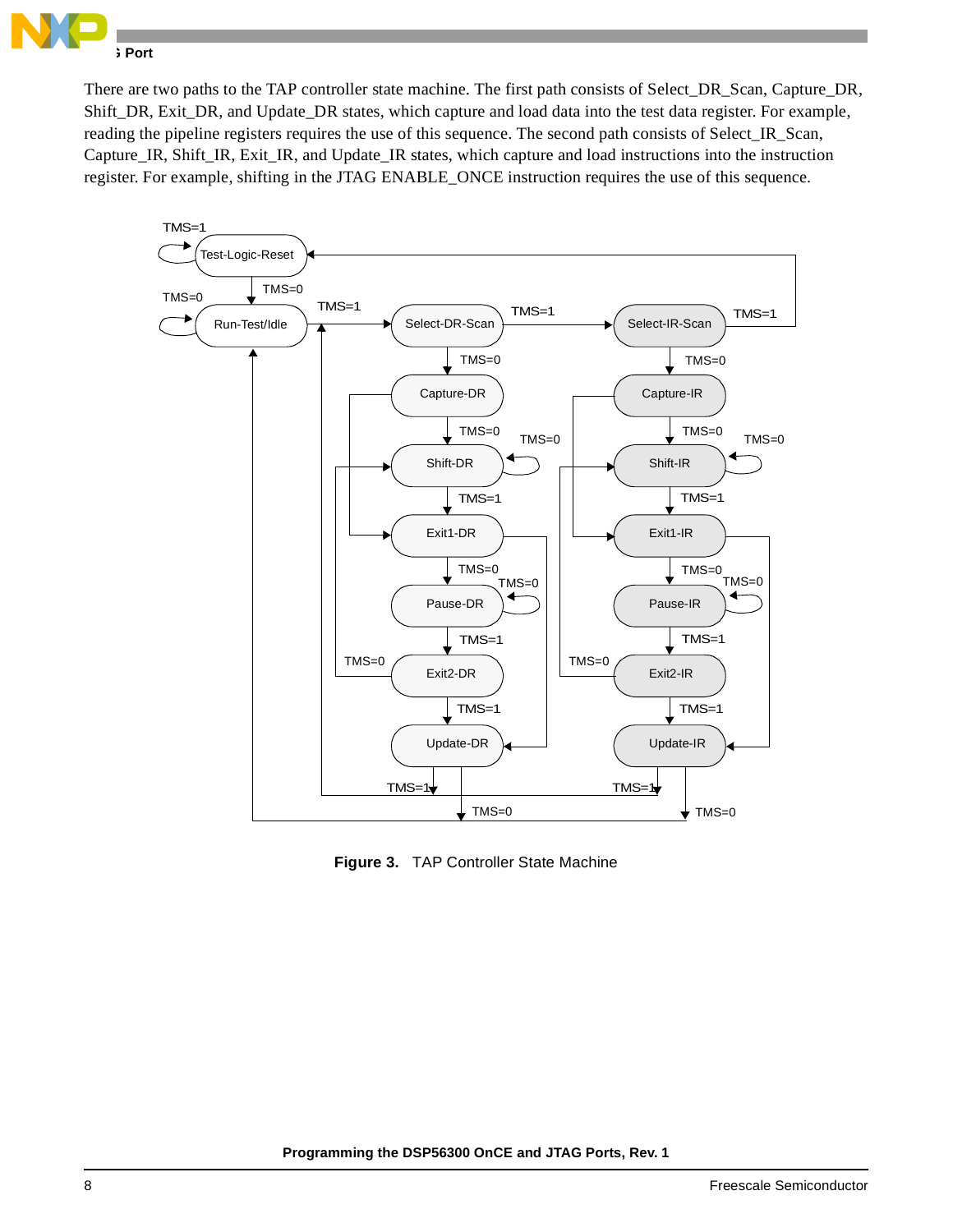

There are two paths to the TAP controller state machine. The first path consists of Select\_DR\_Scan, Capture\_DR, Shift\_DR, Exit\_DR, and Update\_DR states, which capture and load data into the test data register. For example, reading the pipeline registers requires the use of this sequence. The second path consists of Select\_IR\_Scan, Capture IR, Shift IR, Exit IR, and Update IR states, which capture and load instructions into the instruction register. For example, shifting in the JTAG ENABLE\_ONCE instruction requires the use of this sequence.



<span id="page-7-0"></span>**Figure 3.** TAP Controller State Machine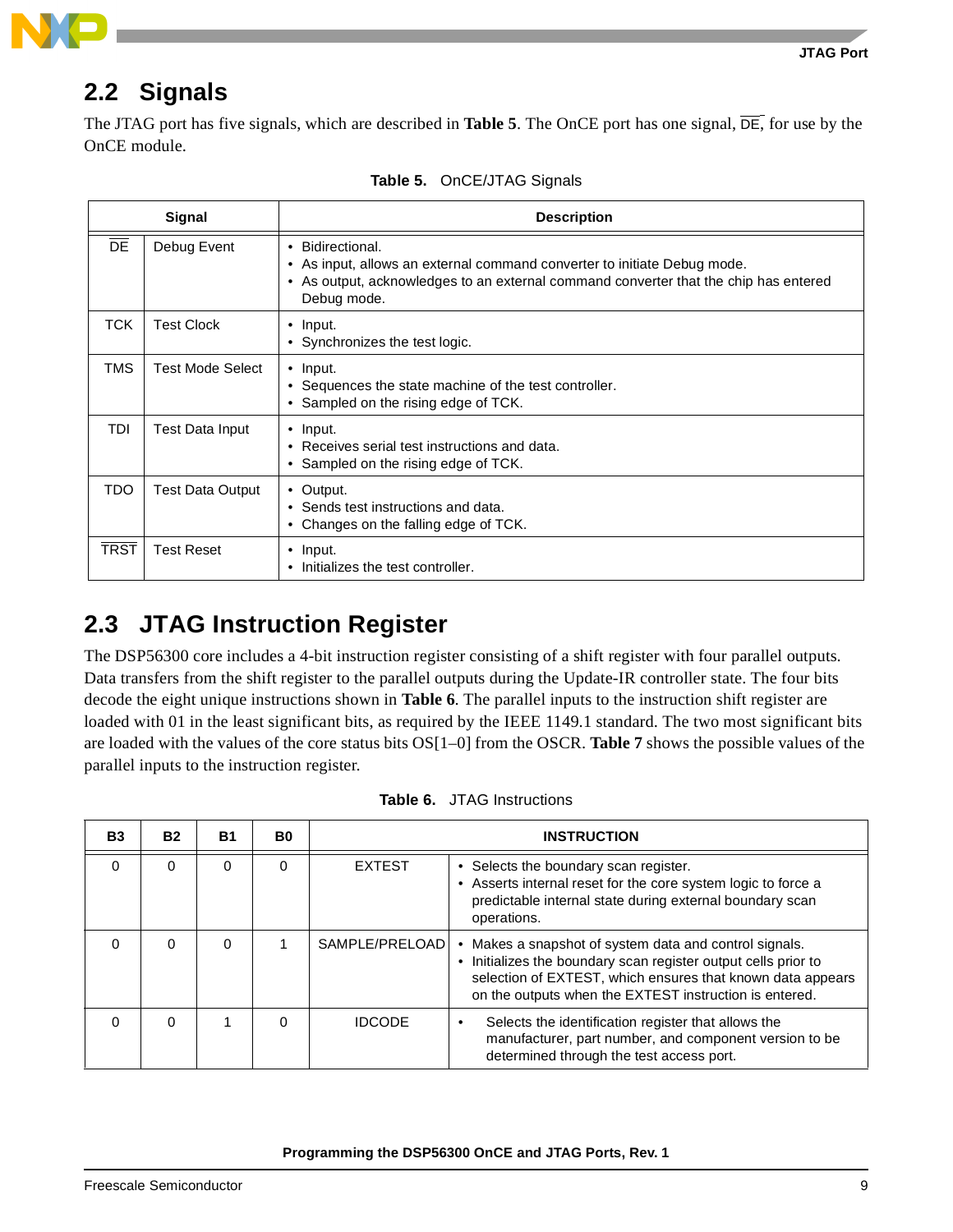

# **2.2 Signals**

The JTAG port has five signals, which are described in **[Table 5](#page-8-1)**. The OnCE port has one signal, DE, for use by the OnCE module.

<span id="page-8-1"></span>

|                 | Signal                  | <b>Description</b>                                                                                                                                                                                  |
|-----------------|-------------------------|-----------------------------------------------------------------------------------------------------------------------------------------------------------------------------------------------------|
| $\overline{DE}$ | Debug Event             | • Bidirectional.<br>• As input, allows an external command converter to initiate Debug mode.<br>• As output, acknowledges to an external command converter that the chip has entered<br>Debug mode. |
| TCK             | <b>Test Clock</b>       | $\bullet$ Input.<br>• Synchronizes the test logic.                                                                                                                                                  |
| <b>TMS</b>      | <b>Test Mode Select</b> | $\bullet$ Input.<br>• Sequences the state machine of the test controller.<br>• Sampled on the rising edge of TCK.                                                                                   |
| TDI             | <b>Test Data Input</b>  | $\bullet$ Input.<br>• Receives serial test instructions and data.<br>• Sampled on the rising edge of TCK.                                                                                           |
| TDO             | <b>Test Data Output</b> | • Output.<br>• Sends test instructions and data.<br>Changes on the falling edge of TCK.                                                                                                             |
| <b>TRST</b>     | <b>Test Reset</b>       | $\bullet$ Input.<br>Initializes the test controller.                                                                                                                                                |

| Table 5. OnCE/JTAG Signals |  |
|----------------------------|--|
|                            |  |

# **2.3 JTAG Instruction Register**

The DSP56300 core includes a 4-bit instruction register consisting of a shift register with four parallel outputs. Data transfers from the shift register to the parallel outputs during the Update-IR controller state. The four bits decode the eight unique instructions shown in **[Table 6](#page-8-0)**. The parallel inputs to the instruction shift register are loaded with 01 in the least significant bits, as required by the IEEE 1149.1 standard. The two most significant bits are loaded with the values of the core status bits OS[1–0] from the OSCR. **[Table 7](#page-9-0)** shows the possible values of the parallel inputs to the instruction register.

<span id="page-8-0"></span>

| <b>B3</b> | <b>B2</b> | <b>B1</b> | B0       | <b>INSTRUCTION</b> |                                                                                                                                                                                                                                                |  |
|-----------|-----------|-----------|----------|--------------------|------------------------------------------------------------------------------------------------------------------------------------------------------------------------------------------------------------------------------------------------|--|
| $\Omega$  | $\Omega$  | 0         | $\Omega$ | <b>EXTEST</b>      | • Selects the boundary scan register.<br>• Asserts internal reset for the core system logic to force a<br>predictable internal state during external boundary scan<br>operations.                                                              |  |
| 0         | 0         | 0         |          | SAMPLE/PRELOAD     | Makes a snapshot of system data and control signals.<br>• Initializes the boundary scan register output cells prior to<br>selection of EXTEST, which ensures that known data appears<br>on the outputs when the EXTEST instruction is entered. |  |
| $\Omega$  | $\Omega$  |           | $\Omega$ | <b>IDCODE</b>      | Selects the identification register that allows the<br>٠<br>manufacturer, part number, and component version to be<br>determined through the test access port.                                                                                 |  |

**Table 6.** JTAG Instructions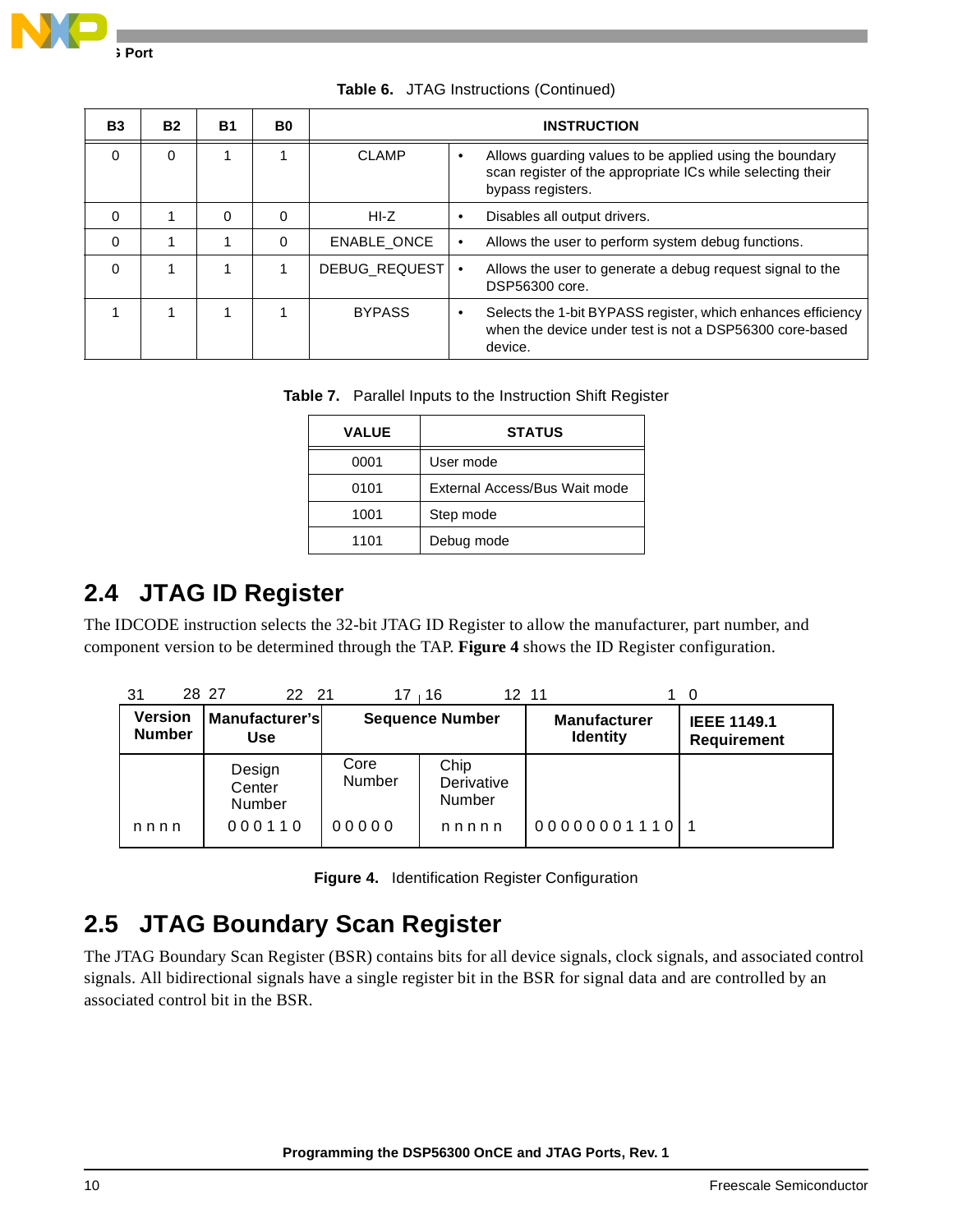

| <b>B3</b> | <b>B2</b> | <b>B1</b> | B0 |                      | <b>INSTRUCTION</b>                                                                                                                         |
|-----------|-----------|-----------|----|----------------------|--------------------------------------------------------------------------------------------------------------------------------------------|
| $\Omega$  | $\Omega$  |           |    | <b>CLAMP</b>         | Allows guarding values to be applied using the boundary<br>scan register of the appropriate ICs while selecting their<br>bypass registers. |
| $\Omega$  |           | 0         | 0  | HI-Z                 | Disables all output drivers.                                                                                                               |
| $\Omega$  |           |           | 0  | <b>ENABLE ONCE</b>   | Allows the user to perform system debug functions.                                                                                         |
| $\Omega$  |           |           |    | <b>DEBUG REQUEST</b> | Allows the user to generate a debug request signal to the<br>٠<br>DSP56300 core.                                                           |
|           |           |           |    | <b>BYPASS</b>        | Selects the 1-bit BYPASS register, which enhances efficiency<br>when the device under test is not a DSP56300 core-based<br>device.         |

**Table 6.** JTAG Instructions (Continued)

|  |  | Table 7. Parallel Inputs to the Instruction Shift Register |
|--|--|------------------------------------------------------------|
|  |  |                                                            |

| <b>VALUE</b> | <b>STATUS</b>                 |
|--------------|-------------------------------|
| 0001         | User mode                     |
| 0101         | External Access/Bus Wait mode |
| 1001         | Step mode                     |
| 1101         | Debug mode                    |

### <span id="page-9-0"></span>**2.4 JTAG ID Register**

The IDCODE instruction selects the 32-bit JTAG ID Register to allow the manufacturer, part number, and component version to be determined through the TAP. **[Figure 4](#page-9-1)** shows the ID Register configuration.

| 31                              | 28 27<br>22 21               | $17 \quad 16$  | 12 11                        |                                        | 0                                        |
|---------------------------------|------------------------------|----------------|------------------------------|----------------------------------------|------------------------------------------|
| <b>Version</b><br><b>Number</b> | Manufacturer's<br><b>Use</b> |                | <b>Sequence Number</b>       | <b>Manufacturer</b><br><b>Identity</b> | <b>IEEE 1149.1</b><br><b>Requirement</b> |
|                                 | Design<br>Center<br>Number   | Core<br>Number | Chip<br>Derivative<br>Number |                                        |                                          |
| nnnn                            | 000110                       | 00000          | nnnnn                        | 00000001110                            |                                          |

**Figure 4.** Identification Register Configuration

# <span id="page-9-1"></span>**2.5 JTAG Boundary Scan Register**

The JTAG Boundary Scan Register (BSR) contains bits for all device signals, clock signals, and associated control signals. All bidirectional signals have a single register bit in the BSR for signal data and are controlled by an associated control bit in the BSR.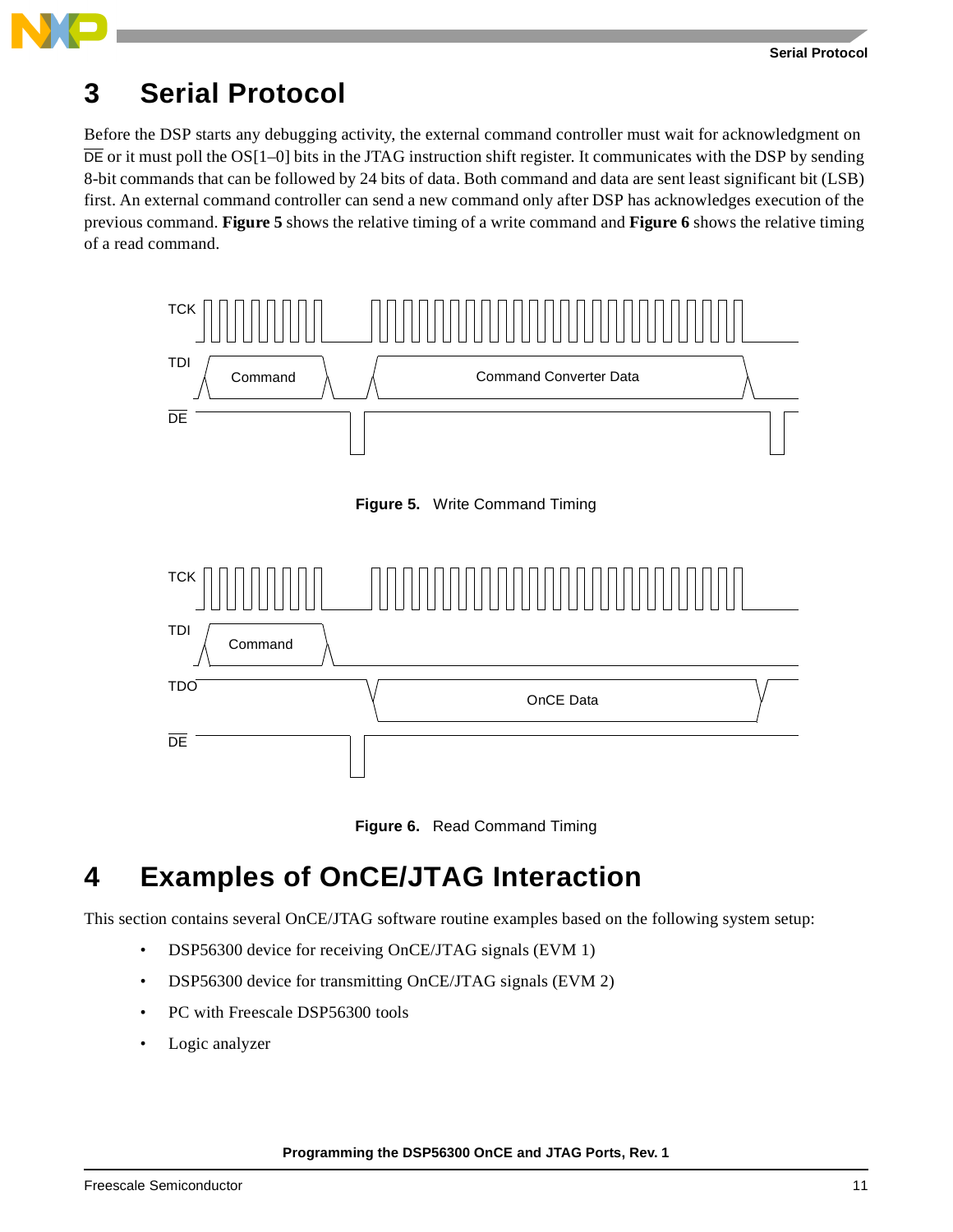# **3 Serial Protocol**

Before the DSP starts any debugging activity, the external command controller must wait for acknowledgment on  $\overline{DE}$  or it must poll the OS[1–0] bits in the JTAG instruction shift register. It communicates with the DSP by sending 8-bit commands that can be followed by 24 bits of data. Both command and data are sent least significant bit (LSB) first. An external command controller can send a new command only after DSP has acknowledges execution of the previous command. **[Figure 5](#page-10-0)** shows the relative timing of a write command and **[Figure 6](#page-10-1)** shows the relative timing of a read command.



**Figure 5.** Write Command Timing

<span id="page-10-0"></span>



# <span id="page-10-1"></span>**4 Examples of OnCE/JTAG Interaction**

This section contains several OnCE/JTAG software routine examples based on the following system setup:

- DSP56300 device for receiving OnCE/JTAG signals (EVM 1)
- DSP56300 device for transmitting OnCE/JTAG signals (EVM 2)
- PC with Freescale DSP56300 tools
- Logic analyzer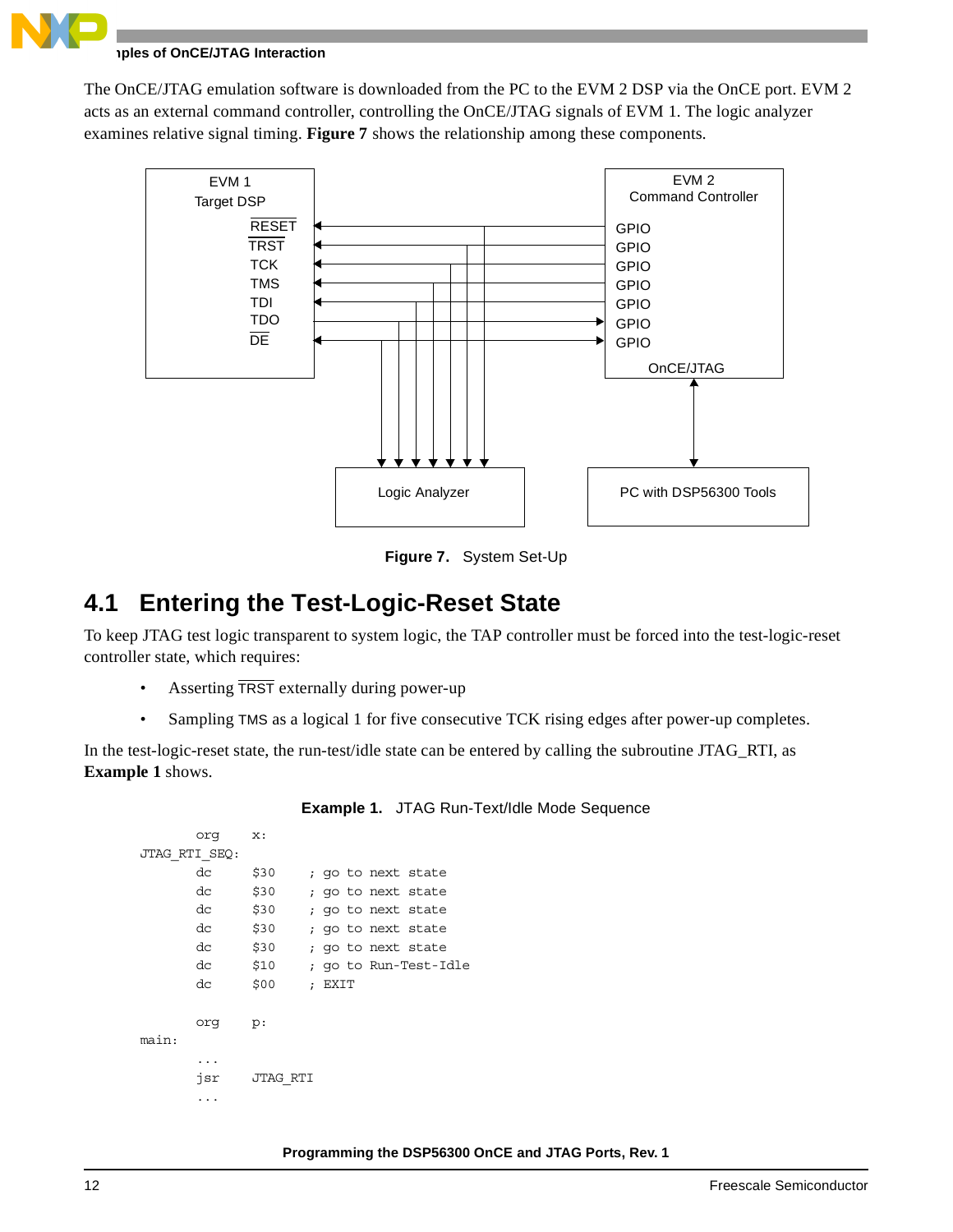

#### **Iples of OnCE/JTAG Interaction**

The OnCE/JTAG emulation software is downloaded from the PC to the EVM 2 DSP via the OnCE port. EVM 2 acts as an external command controller, controlling the OnCE/JTAG signals of EVM 1. The logic analyzer examines relative signal timing. **[Figure 7](#page-11-0)** shows the relationship among these components.



**Figure 7.** System Set-Up

### <span id="page-11-0"></span>**4.1 Entering the Test-Logic-Reset State**

To keep JTAG test logic transparent to system logic, the TAP controller must be forced into the test-logic-reset controller state, which requires:

- Asserting TRST externally during power-up
- Sampling TMS as a logical 1 for five consecutive TCK rising edges after power-up completes.

<span id="page-11-1"></span>In the test-logic-reset state, the run-test/idle state can be entered by calling the subroutine JTAG\_RTI, as **[Example 1](#page-11-1)** shows.

```
org x:
JTAG_RTI_SEQ:
     dc $30 ; go to next state
      dc $30 ; go to next state
     dc $30 ; go to next state
      dc $30 ; go to next state
      dc $30 ; go to next state
     dc $10 ; go to Run-Test-Idle
     dc $00 ; EXIT
      org p:
main:
      ...
      jsr JTAG_RTI
      ...
```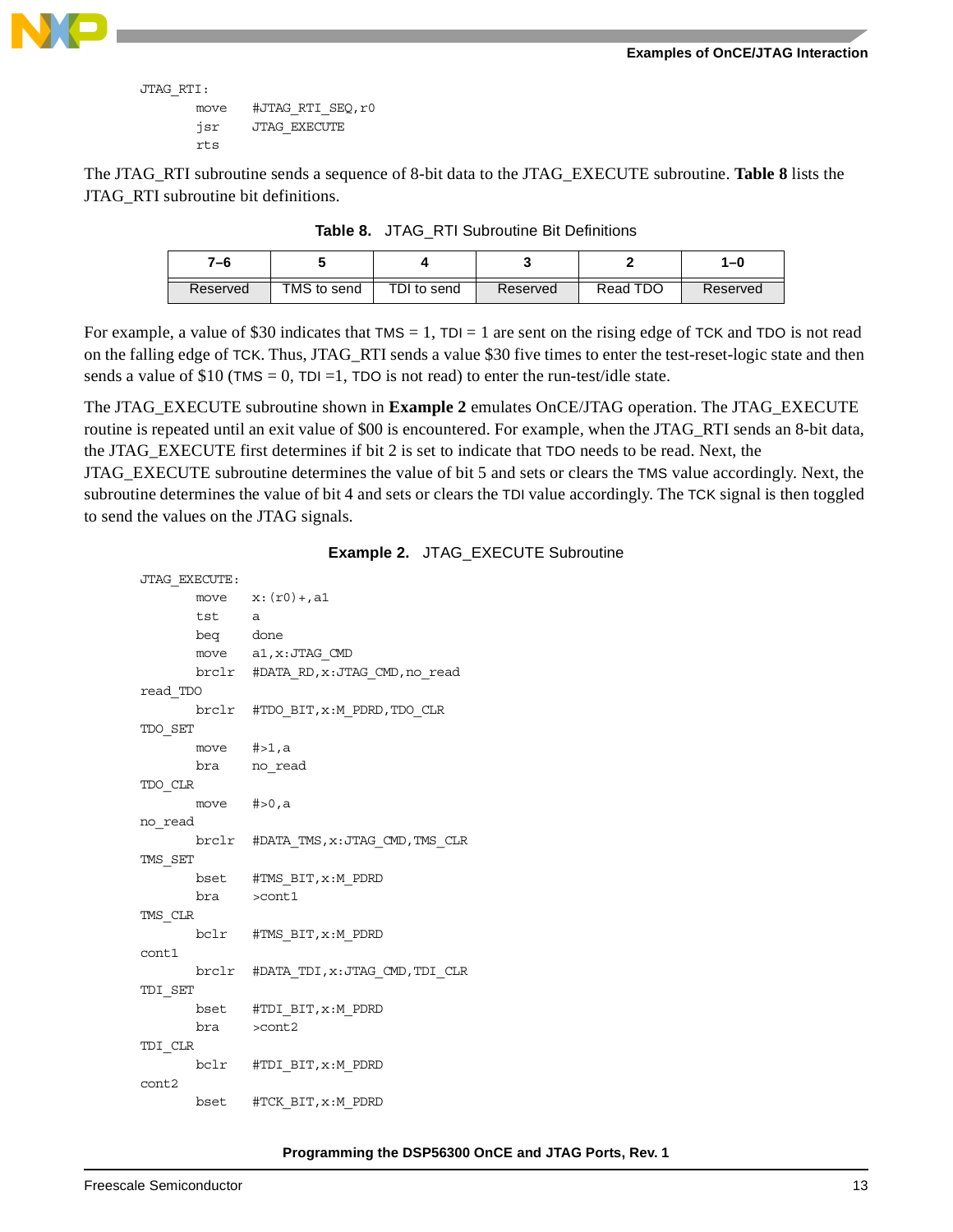

```
JTAG_RTI:
```

```
 move #JTAG_RTI_SEQ,r0
jsr JTAG_EXECUTE
rts
```
<span id="page-12-0"></span>The JTAG\_RTI subroutine sends a sequence of 8-bit data to the JTAG\_EXECUTE subroutine. **[Table 8](#page-12-0)** lists the JTAG\_RTI subroutine bit definitions.

| 7–6      |             |             |          |          | 1–0      |
|----------|-------------|-------------|----------|----------|----------|
| Reserved | TMS to send | TDI to send | Reserved | Read TDO | Reserved |

**Table 8.** JTAG\_RTI Subroutine Bit Definitions

For example, a value of \$30 indicates that  $TMS = 1$ ,  $TDI = 1$  are sent on the rising edge of TCK and TDO is not read on the falling edge of TCK. Thus, JTAG\_RTI sends a value \$30 five times to enter the test-reset-logic state and then sends a value of \$10 (TMS = 0, TDI = 1, TDO is not read) to enter the run-test/idle state.

The JTAG\_EXECUTE subroutine shown in **[Example 2](#page-12-1)** emulates OnCE/JTAG operation. The JTAG\_EXECUTE routine is repeated until an exit value of \$00 is encountered. For example, when the JTAG\_RTI sends an 8-bit data, the JTAG\_EXECUTE first determines if bit 2 is set to indicate that TDO needs to be read. Next, the JTAG\_EXECUTE subroutine determines the value of bit 5 and sets or clears the TMS value accordingly. Next, the subroutine determines the value of bit 4 and sets or clears the TDI value accordingly. The TCK signal is then toggled to send the values on the JTAG signals.

<span id="page-12-1"></span>

| JTAG EXECUTE: |                 |                                       |
|---------------|-----------------|---------------------------------------|
|               |                 | move $x: (r0) +$ , al                 |
|               | tst a           |                                       |
|               | beq done        |                                       |
|               |                 | move al, x: JTAG_CMD                  |
|               |                 | brclr #DATA_RD, x: JTAG_CMD, no_read  |
| read TDO      |                 |                                       |
|               |                 | brclr #TDO BIT, x:M PDRD, TDO CLR     |
| TDO SET       |                 |                                       |
|               | move $#>1, a$   |                                       |
|               |                 | bra no read                           |
| TDO CLR       |                 |                                       |
|               | move $\#>0$ , a |                                       |
| no read       |                 |                                       |
|               |                 | brclr #DATA_TMS, x: JTAG_CMD, TMS_CLR |
| TMS SET       |                 |                                       |
|               |                 | bset #TMS BIT, x:M PDRD               |
|               | bra >cont1      |                                       |
| TMS CLR       |                 |                                       |
|               |                 | bclr #TMS_BIT, x:M_PDRD               |
| cont1         |                 |                                       |
|               |                 | brclr #DATA_TDI, x: JTAG_CMD, TDI_CLR |
| TDI SET       |                 |                                       |
|               |                 | bset #TDI BIT, x:M PDRD               |
|               | bra > cont2     |                                       |
| TDI CLR       |                 |                                       |
|               |                 | bclr #TDI BIT, x:M PDRD               |
| cont2         |                 |                                       |
|               |                 | bset #TCK BIT, x:M PDRD               |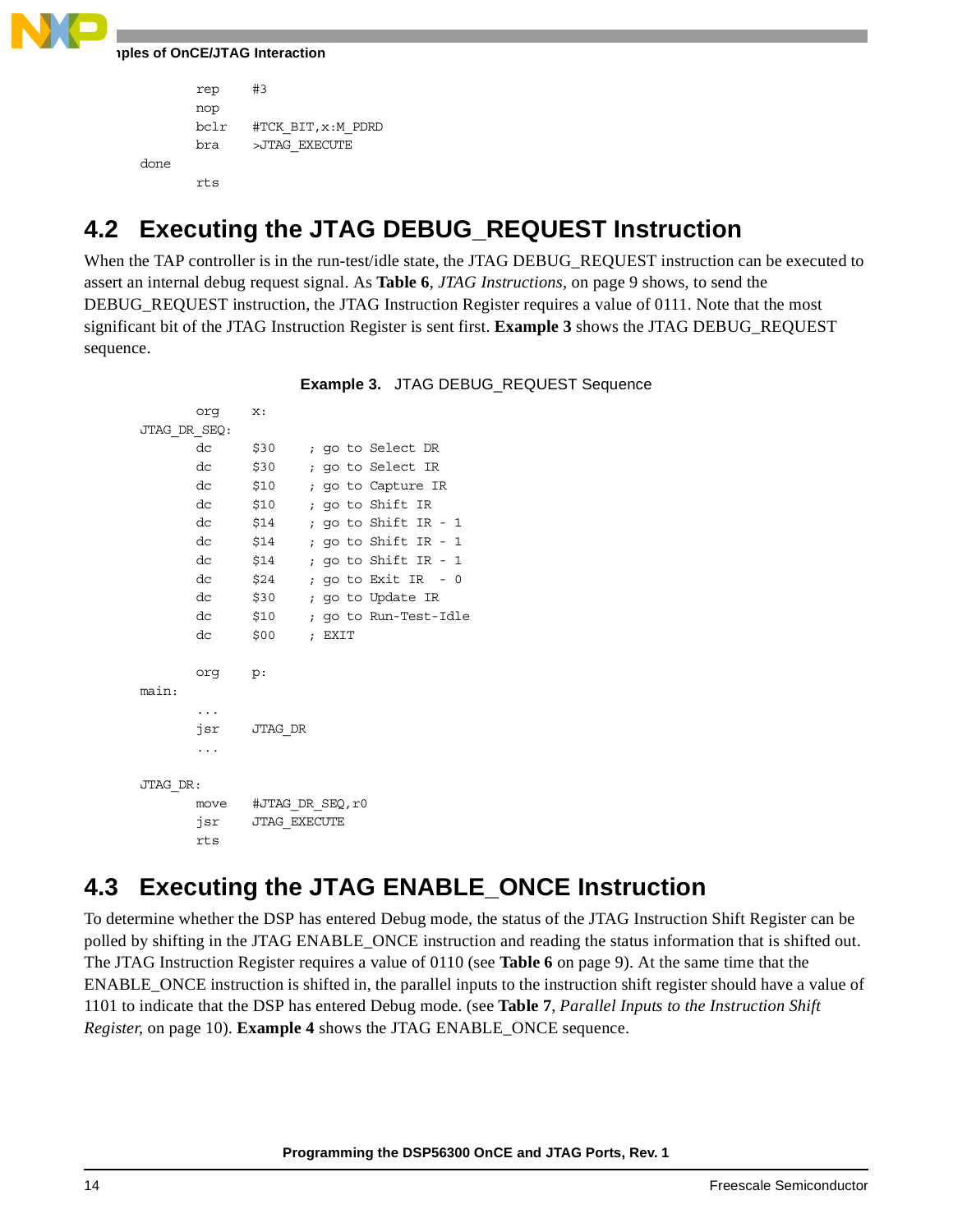

```
rep #3
      nop
      bclr #TCK_BIT,x:M_PDRD
      bra >JTAG_EXECUTE
done
      rts
```
# **4.2 Executing the JTAG DEBUG\_REQUEST Instruction**

When the TAP controller is in the run-test/idle state, the JTAG DEBUG\_REQUEST instruction can be executed to assert an internal debug request signal. As **Table 6**, *[JTAG Instructions,](#page-8-0)* on page 9 shows, to send the DEBUG REQUEST instruction, the JTAG Instruction Register requires a value of 0111. Note that the most significant bit of the JTAG Instruction Register is sent first. **[Example 3](#page-13-0)** shows the JTAG DEBUG\_REQUEST sequence.

<span id="page-13-0"></span>org x: JTAG\_DR\_SEQ: dc \$30 ; go to Select DR dc \$30 ; go to Select IR dc \$10 ; go to Capture IR dc \$10 ; go to Shift IR dc \$14 ; go to Shift IR - 1 dc \$14 ; go to Shift IR - 1 dc \$14 ; go to Shift IR - 1 dc \$24 ; go to Exit IR - 0 dc \$30 ; go to Update IR dc \$10 ; go to Run-Test-Idle dc \$00 ; EXIT org p: main: ... jsr JTAG\_DR ... JTAG\_DR: move #JTAG\_DR\_SEQ,r0 jsr JTAG\_EXECUTE rts

**Example 3.** JTAG DEBUG\_REQUEST Sequence

# **4.3 Executing the JTAG ENABLE\_ONCE Instruction**

To determine whether the DSP has entered Debug mode, the status of the JTAG Instruction Shift Register can be polled by shifting in the JTAG ENABLE\_ONCE instruction and reading the status information that is shifted out. The JTAG Instruction Register requires a value of 0110 (see **Table 6** [on page 9\)](#page-8-0). At the same time that the ENABLE\_ONCE instruction is shifted in, the parallel inputs to the instruction shift register should have a value of 1101 to indicate that the DSP has entered Debug mode. (see **Table 7**, *[Parallel Inputs to the Instruction Shift](#page-9-0)  [Register,](#page-9-0)* on page 10). **[Example 4](#page-14-0)** shows the JTAG ENABLE\_ONCE sequence.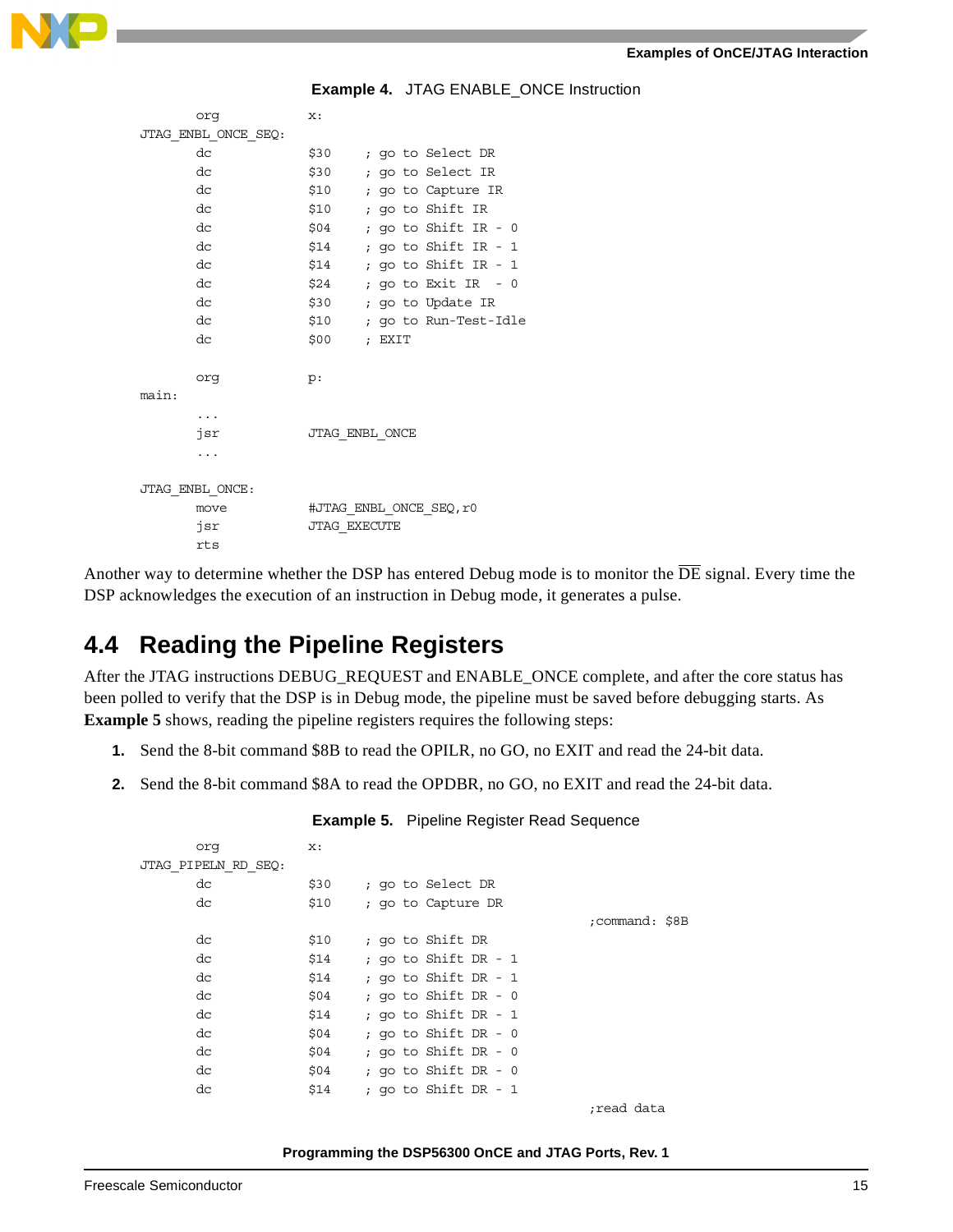

**Example 4.** JTAG ENABLE\_ONCE Instruction

<span id="page-14-0"></span>

| org                 | x:                  |                         |
|---------------------|---------------------|-------------------------|
| JTAG_ENBL_ONCE_SEQ: |                     |                         |
| dc                  | \$30                | ; go to Select DR       |
| dc                  | \$30                | ; go to Select IR       |
| dc                  | \$10                | ; go to Capture IR      |
| dc                  | \$10                | ; go to Shift IR        |
| dc                  | \$04                | ; go to Shift IR - $0$  |
| dc                  | \$14                | ; go to Shift IR - 1    |
| dc                  | \$14                | ; go to Shift IR - $1$  |
| dc                  | \$24                | ; go to Exit IR $-0$    |
| dc                  | \$30                | ; go to Update IR       |
| dc                  | \$10                | ; go to Run-Test-Idle   |
| dc                  | \$00                | ; EXIT                  |
|                     |                     |                         |
| orq                 | p:                  |                         |
| main:               |                     |                         |
| $\cdots$            |                     |                         |
| jsr                 |                     | JTAG ENBL ONCE          |
| .                   |                     |                         |
|                     |                     |                         |
| JTAG ENBL ONCE:     |                     |                         |
| move                |                     | #JTAG ENBL ONCE SEQ, r0 |
| jsr                 | <b>JTAG EXECUTE</b> |                         |
| rts                 |                     |                         |

Another way to determine whether the DSP has entered Debug mode is to monitor the  $\overline{DE}$  signal. Every time the DSP acknowledges the execution of an instruction in Debug mode, it generates a pulse.

### **4.4 Reading the Pipeline Registers**

After the JTAG instructions DEBUG\_REQUEST and ENABLE\_ONCE complete, and after the core status has been polled to verify that the DSP is in Debug mode, the pipeline must be saved before debugging starts. As **[Example 5](#page-14-1)** shows, reading the pipeline registers requires the following steps:

- **1.** Send the 8-bit command \$8B to read the OPILR, no GO, no EXIT and read the 24-bit data.
- <span id="page-14-1"></span>**2.** Send the 8-bit command \$8A to read the OPDBR, no GO, no EXIT and read the 24-bit data.

| orq                 | $\mathbf{x}$ : |                        |                |
|---------------------|----------------|------------------------|----------------|
| JTAG PIPELN RD SEQ: |                |                        |                |
| dc                  | \$30           | ; go to Select DR      |                |
| dc                  | \$10           | ; go to Capture DR     |                |
|                     |                |                        | ;command: \$8B |
| dc                  | \$10           | ; go to Shift DR       |                |
| dc                  | \$14           | ; go to Shift DR - $1$ |                |
| dc                  | \$14           | ; go to Shift DR - 1   |                |
| dc                  | \$04           | ; go to Shift DR - $0$ |                |
| dc                  | \$14           | ; go to Shift DR - 1   |                |
| dc                  | \$04           | ; go to Shift DR - $0$ |                |
| dc                  | \$04           | ; go to Shift DR - $0$ |                |
| dc                  | \$04           | ; go to Shift DR - $0$ |                |
| dc                  | \$14           | ; go to Shift DR - $1$ |                |
|                     |                |                        | read data;     |

### **Example 5.** Pipeline Register Read Sequence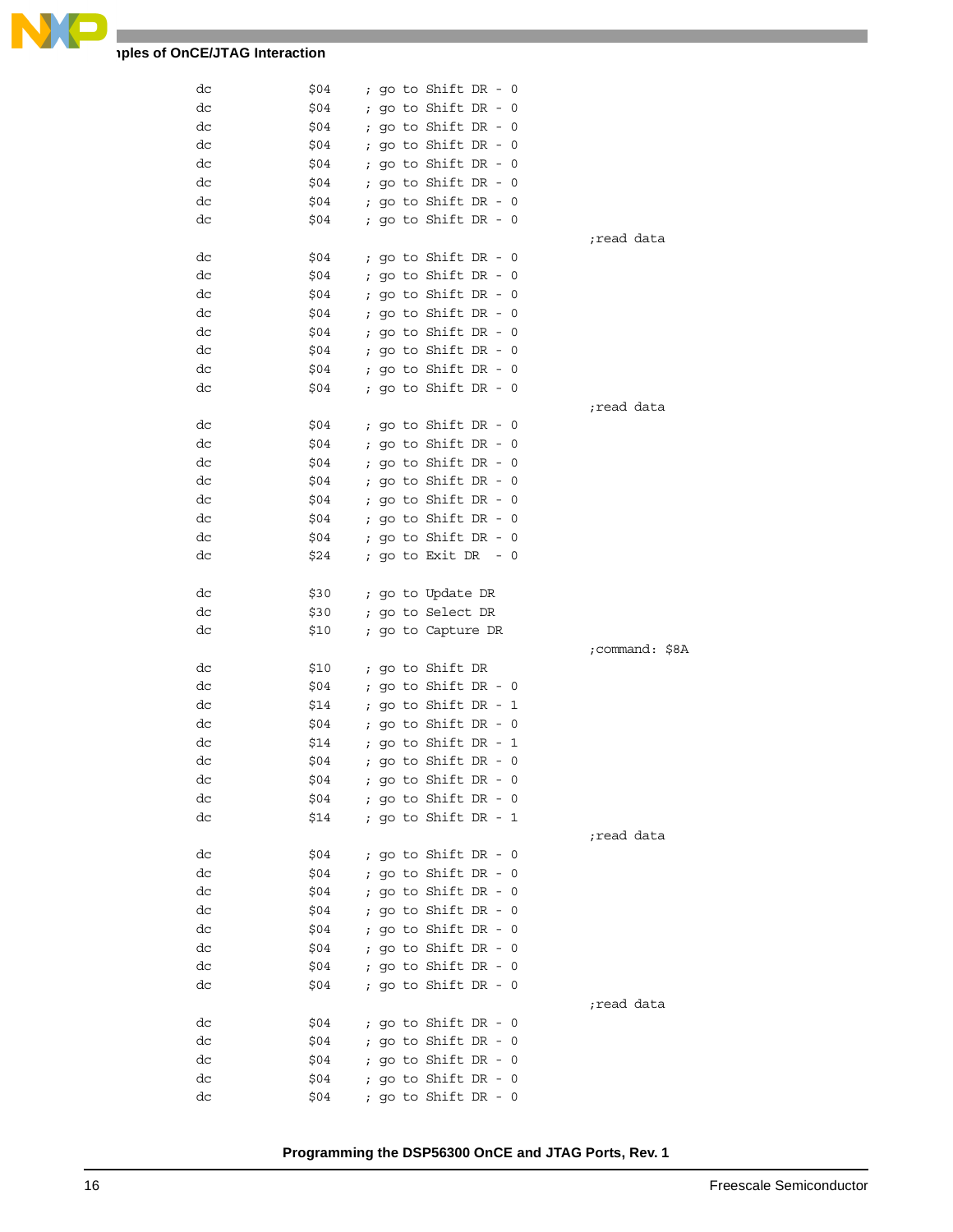

### **Thes of OnCE/JTAG Interaction**

| dc       | \$04         |            |                    | ; go to Shift DR - $0$                       |       |                |
|----------|--------------|------------|--------------------|----------------------------------------------|-------|----------------|
| dc       | \$04         |            |                    | ; go to Shift $DR - 0$                       |       |                |
| dc       | \$04         |            |                    | ; go to Shift DR - $0$                       |       |                |
| dc       | \$04         |            |                    | ; go to Shift DR - $0$                       |       |                |
| dc       | \$04         |            |                    | ; go to Shift DR - $0$                       |       |                |
| dc       | \$04         |            |                    | ; go to Shift DR - $0$                       |       |                |
| dc       | \$04         |            |                    | ; go to Shift DR - $0$                       |       |                |
| dc       | \$04         |            |                    | ; go to Shift DR - 0                         |       |                |
|          |              |            |                    |                                              |       | read data;     |
| dc       | \$04         |            |                    | ; go to Shift DR - $0$                       |       |                |
| dc       | \$04         |            |                    | ; go to Shift DR - $0$                       |       |                |
| dc       | \$04         |            |                    | ; go to Shift $DR - 0$                       |       |                |
| dc       | \$04         |            |                    | ; go to Shift DR - $0$                       |       |                |
| dc       | \$04         |            |                    | ; go to Shift DR - $0$                       |       |                |
| dc       | \$04         |            |                    | ; go to Shift DR - $0$                       |       |                |
| dc       | \$04         |            |                    | ; go to Shift DR - $0$                       |       |                |
| dc       | \$04         |            |                    | ; go to Shift DR - 0                         |       |                |
|          |              |            |                    |                                              |       | read data;     |
| dc       | \$04         |            |                    | ; go to Shift DR - $0$                       |       |                |
| dc       | \$04         |            |                    | ; go to Shift DR - $0$                       |       |                |
|          |              |            |                    | ; go to Shift $DR - 0$                       |       |                |
| dc       | \$04         |            |                    |                                              |       |                |
| dc       | \$04         |            |                    | ; go to Shift DR - $0$                       |       |                |
| dc       | \$04         |            |                    | ; go to Shift DR - $0$                       |       |                |
| dc       | \$04         |            |                    | ; go to Shift DR - $0$                       |       |                |
| dc       | \$04         |            |                    | ; go to Shift DR - $0$                       |       |                |
| dc       | \$24         |            |                    | ; go to Exit DR                              | $- 0$ |                |
|          |              |            |                    |                                              |       |                |
| dc       | \$30         |            |                    | ; go to Update DR                            |       |                |
| dc       | \$30         |            |                    | ; go to Select DR                            |       |                |
|          |              |            |                    |                                              |       |                |
| dc       | \$10         |            | ; go to Capture DR |                                              |       |                |
|          |              |            |                    |                                              |       | ;command: \$8A |
| dc       | \$10         |            |                    | ; go to Shift DR                             |       |                |
| dc       | \$04         |            |                    | ; go to Shift DR - $0$                       |       |                |
| dc       | \$14         |            |                    | ; go to Shift DR - $1$                       |       |                |
| dc       | \$04         | $\ddot{i}$ |                    | go to Shift DR - 0                           |       |                |
| dc       | \$14         |            |                    | ; go to Shift DR - 1                         |       |                |
| dc       | \$04         |            |                    | ; go to Shift DR - $0$                       |       |                |
| dс       | \$04         |            |                    | ; go to Shift DR - 0                         |       |                |
| dc       | \$04         |            |                    | ; go to Shift DR - $0$                       |       |                |
| dc       | \$14         |            |                    | ; go to Shift DR - 1                         |       |                |
|          |              |            |                    |                                              |       | read data;     |
| dc       | \$04         |            |                    | ; go to Shift DR - $0$                       |       |                |
| dc       | \$04         |            |                    | ; go to Shift $DR - 0$                       |       |                |
| dc       | \$04         |            |                    | ; go to Shift DR - 0                         |       |                |
| dc       | \$04         |            |                    | ; go to Shift DR - 0                         |       |                |
| dс       | \$04         |            |                    | ; go to Shift DR - $0$                       |       |                |
| dс       | \$04         |            |                    | ; go to Shift $DR - 0$                       |       |                |
| dс       | \$04         |            |                    | ; go to Shift $DR - 0$                       |       |                |
| dс       | \$04         |            |                    | ; go to Shift DR - $0$                       |       |                |
|          |              |            |                    |                                              |       | read data;     |
| dc       | \$04         |            |                    | ; go to Shift DR - $0$                       |       |                |
| dc       | \$04         |            |                    | ; go to Shift DR - $0$                       |       |                |
| dс       | \$04         |            |                    | ; go to Shift DR - 0                         |       |                |
| dс<br>dс | \$04<br>\$04 |            |                    | ; go to Shift DR - 0<br>; go to Shift DR - 0 |       |                |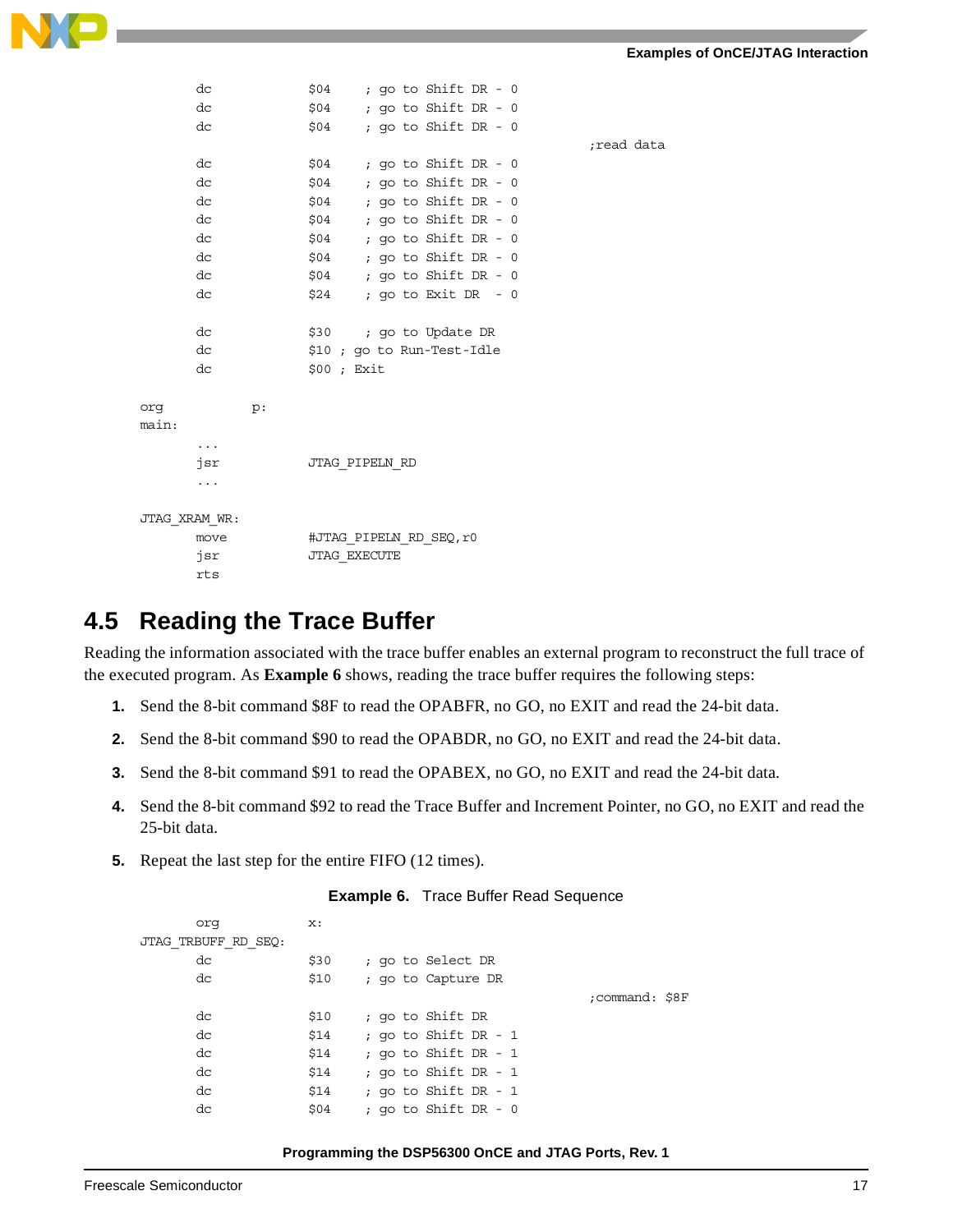

| dc            |    |  |      |           |                                       |                         |                                                      |                                                                                                                                                                                                                                                                                                                                 |            |
|---------------|----|--|------|-----------|---------------------------------------|-------------------------|------------------------------------------------------|---------------------------------------------------------------------------------------------------------------------------------------------------------------------------------------------------------------------------------------------------------------------------------------------------------------------------------|------------|
| dc            |    |  |      |           |                                       |                         |                                                      |                                                                                                                                                                                                                                                                                                                                 |            |
| dc            |    |  |      |           |                                       |                         |                                                      |                                                                                                                                                                                                                                                                                                                                 |            |
|               |    |  |      |           |                                       |                         |                                                      |                                                                                                                                                                                                                                                                                                                                 | read data; |
| dc            |    |  |      |           |                                       |                         |                                                      |                                                                                                                                                                                                                                                                                                                                 |            |
| dc            |    |  |      |           |                                       |                         |                                                      |                                                                                                                                                                                                                                                                                                                                 |            |
| dc            |    |  |      |           |                                       |                         |                                                      |                                                                                                                                                                                                                                                                                                                                 |            |
| dc            |    |  |      |           |                                       |                         |                                                      |                                                                                                                                                                                                                                                                                                                                 |            |
| dc            |    |  |      |           |                                       |                         |                                                      |                                                                                                                                                                                                                                                                                                                                 |            |
| dc            |    |  |      |           |                                       |                         |                                                      |                                                                                                                                                                                                                                                                                                                                 |            |
| dc            |    |  |      |           |                                       |                         |                                                      |                                                                                                                                                                                                                                                                                                                                 |            |
| dc            |    |  |      |           |                                       |                         |                                                      |                                                                                                                                                                                                                                                                                                                                 |            |
|               |    |  |      |           |                                       |                         |                                                      |                                                                                                                                                                                                                                                                                                                                 |            |
| dc            |    |  |      |           |                                       |                         |                                                      |                                                                                                                                                                                                                                                                                                                                 |            |
| dc            |    |  |      |           |                                       |                         |                                                      |                                                                                                                                                                                                                                                                                                                                 |            |
| dc            |    |  |      |           |                                       |                         |                                                      |                                                                                                                                                                                                                                                                                                                                 |            |
|               |    |  |      |           |                                       |                         |                                                      |                                                                                                                                                                                                                                                                                                                                 |            |
|               | p: |  |      |           |                                       |                         |                                                      |                                                                                                                                                                                                                                                                                                                                 |            |
|               |    |  |      |           |                                       |                         |                                                      |                                                                                                                                                                                                                                                                                                                                 |            |
| $\cdots$      |    |  |      |           |                                       |                         |                                                      |                                                                                                                                                                                                                                                                                                                                 |            |
| jsr           |    |  |      |           |                                       |                         |                                                      |                                                                                                                                                                                                                                                                                                                                 |            |
| $\ddotsc$     |    |  |      |           |                                       |                         |                                                      |                                                                                                                                                                                                                                                                                                                                 |            |
|               |    |  |      |           |                                       |                         |                                                      |                                                                                                                                                                                                                                                                                                                                 |            |
| JTAG XRAM WR: |    |  |      |           |                                       |                         |                                                      |                                                                                                                                                                                                                                                                                                                                 |            |
| move          |    |  |      |           |                                       |                         |                                                      |                                                                                                                                                                                                                                                                                                                                 |            |
| jsr           |    |  |      |           |                                       |                         |                                                      |                                                                                                                                                                                                                                                                                                                                 |            |
| rts           |    |  |      |           |                                       |                         |                                                      |                                                                                                                                                                                                                                                                                                                                 |            |
|               |    |  | \$04 | \$00; Ext | JTAG PIPELN RD<br><b>JTAG EXECUTE</b> | #JTAG PIPELN RD SEQ, r0 | $$30$ ; go to Update DR<br>\$10; go to Run-Test-Idle | $$04$ ; go to Shift DR - 0<br>$$04$ ; go to Shift DR - 0<br>; go to Shift DR - 0<br>$$04$ ; go to Shift DR - 0<br>$$04$ ; go to Shift DR - 0<br>$$04$ ; go to Shift DR - 0<br>$$04$ ; go to Shift DR - 0<br>$$04$ ; go to Shift DR - 0<br>$$04$ ; go to Shift DR - 0<br>$$04$ ; go to Shift DR - 0<br>$$24$ ; go to Exit DR - 0 |            |

### **4.5 Reading the Trace Buffer**

Reading the information associated with the trace buffer enables an external program to reconstruct the full trace of the executed program. As **[Example 6](#page-16-0)** shows, reading the trace buffer requires the following steps:

- **1.** Send the 8-bit command \$8F to read the OPABFR, no GO, no EXIT and read the 24-bit data.
- **2.** Send the 8-bit command \$90 to read the OPABDR, no GO, no EXIT and read the 24-bit data.
- **3.** Send the 8-bit command \$91 to read the OPABEX, no GO, no EXIT and read the 24-bit data.
- **4.** Send the 8-bit command \$92 to read the Trace Buffer and Increment Pointer, no GO, no EXIT and read the 25-bit data.
- <span id="page-16-0"></span>**5.** Repeat the last step for the entire FIFO (12 times).

| Example 6. | <b>Trace Buffer Read Sequence</b> |  |
|------------|-----------------------------------|--|
|------------|-----------------------------------|--|

| orq                 | $\mathbf{x}$ : |                        |                |
|---------------------|----------------|------------------------|----------------|
| JTAG TRBUFF RD SEQ: |                |                        |                |
| dc                  | \$30           | ; go to Select DR      |                |
| dc                  | \$10           | ; go to Capture DR     |                |
|                     |                |                        | :command: \$8F |
| dc                  | \$10           | ; go to Shift DR       |                |
| dc                  | \$14           | ; go to Shift DR - 1   |                |
| dc                  | \$14           | ; go to Shift DR - $1$ |                |
| dc                  | \$14           | ; go to Shift DR - 1   |                |
| dc                  | \$14           | ; go to Shift DR - 1   |                |
| dc                  | \$04           | ; go to Shift DR - 0   |                |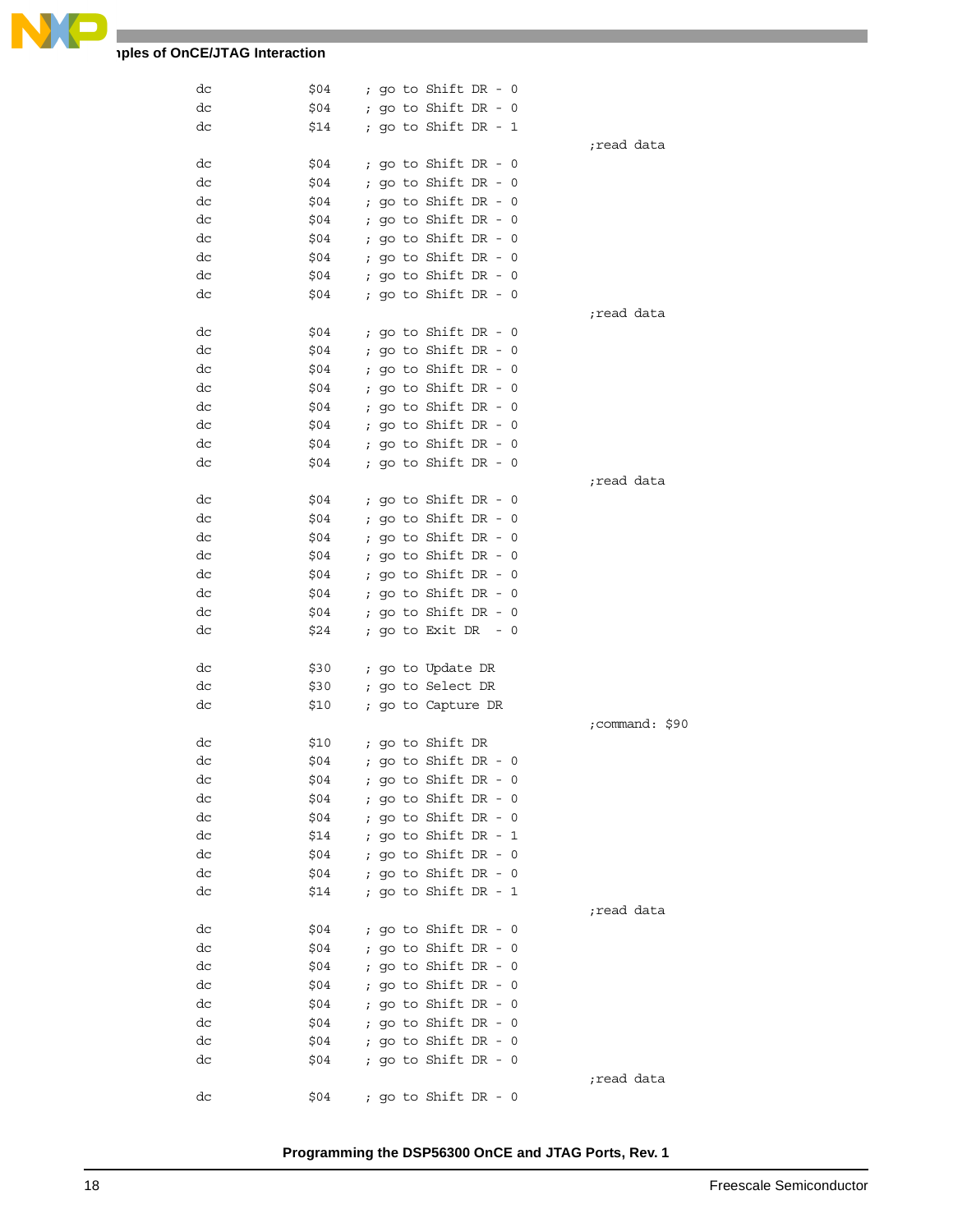

### **Thes of OnCE/JTAG Interaction**

| dc | \$04 | ; go to Shift DR - 0          |                |
|----|------|-------------------------------|----------------|
| dc | \$04 | ; go to Shift DR - 0          |                |
| dc | \$14 | ; go to Shift DR - 1          |                |
|    |      |                               | ;read data     |
| dc | \$04 | ; go to Shift DR - $0$        |                |
| dc | \$04 | ; go to Shift DR - $0$        |                |
| dc | \$04 | ; go to Shift DR - $0$        |                |
| dc | \$04 | ; go to Shift DR - $0$        |                |
| dc | \$04 | ; go to Shift DR - $0$        |                |
| dc | \$04 | ; go to Shift DR - $0$        |                |
| dc | \$04 | ; go to Shift DR - $0$        |                |
| dc | \$04 | ; go to Shift DR - $0$        |                |
|    |      |                               | read data;     |
| dc | \$04 | ; go to Shift DR - $0$        |                |
| dc | \$04 | ; go to Shift DR - $0$        |                |
| dc | \$04 | ; go to Shift DR - $0$        |                |
| dc | \$04 | ; go to Shift DR - $0$        |                |
| dc | \$04 | ; go to Shift DR - $0$        |                |
| dc | \$04 | ; go to Shift DR - $0$        |                |
| dc | \$04 | ; go to Shift DR - $0$        |                |
| dc | \$04 | ; go to Shift DR - $0$        |                |
|    |      |                               | read data;     |
| dc | \$04 | ; go to Shift DR - 0          |                |
| dc | \$04 | ; go to Shift DR - $0$        |                |
| dc | \$04 | ; go to Shift DR - $0$        |                |
| dc | \$04 | ; go to Shift DR - $0$        |                |
| dc | \$04 | ; go to Shift DR - $0$        |                |
| dc | \$04 | ; go to Shift DR - $0$        |                |
| dc | \$04 | ; go to Shift DR - $0$        |                |
| dc | \$24 | ; go to Exit DR $-0$          |                |
|    |      |                               |                |
| dc | \$30 | ; go to Update DR             |                |
| dc | \$30 | ; go to Select DR             |                |
| dc | \$10 | ; go to Capture DR            |                |
|    |      |                               | ;command: \$90 |
| dc | \$10 | ; go to Shift DR              |                |
| dc | \$04 | ; go to Shift DR - 0          |                |
| dc | \$04 | ; go to Shift DR - 0          |                |
| dc |      | \$04     ; go to Shift DR - 0 |                |
| dc |      | $$04$ ; go to Shift DR - 0    |                |
| dс |      | $$14$ ; go to Shift DR - 1    |                |
| dс |      | $$04$ ; go to Shift DR - 0    |                |
| dс |      | $$04$ ; go to Shift DR - 0    |                |
| dc |      | $$14$ ; go to Shift DR - 1    |                |
|    |      |                               | read data;     |
| dc |      | $$04$ ; go to Shift DR - 0    |                |
| dc |      | $$04$ ; go to Shift DR - 0    |                |
|    | \$04 | ; go to Shift DR - 0          |                |
| dс | \$04 | ; go to Shift DR - 0          |                |
| dс |      | $$04$ ; go to Shift DR - 0    |                |
| dс |      | $$04$ ; go to Shift DR - 0    |                |
| dс |      | $$04$ ; go to Shift DR - 0    |                |
| dc |      | $$04$ ; go to Shift DR - 0    |                |
| dc |      |                               |                |
| dc |      | $$04$ ; go to Shift DR - 0    | read data;     |
|    |      |                               |                |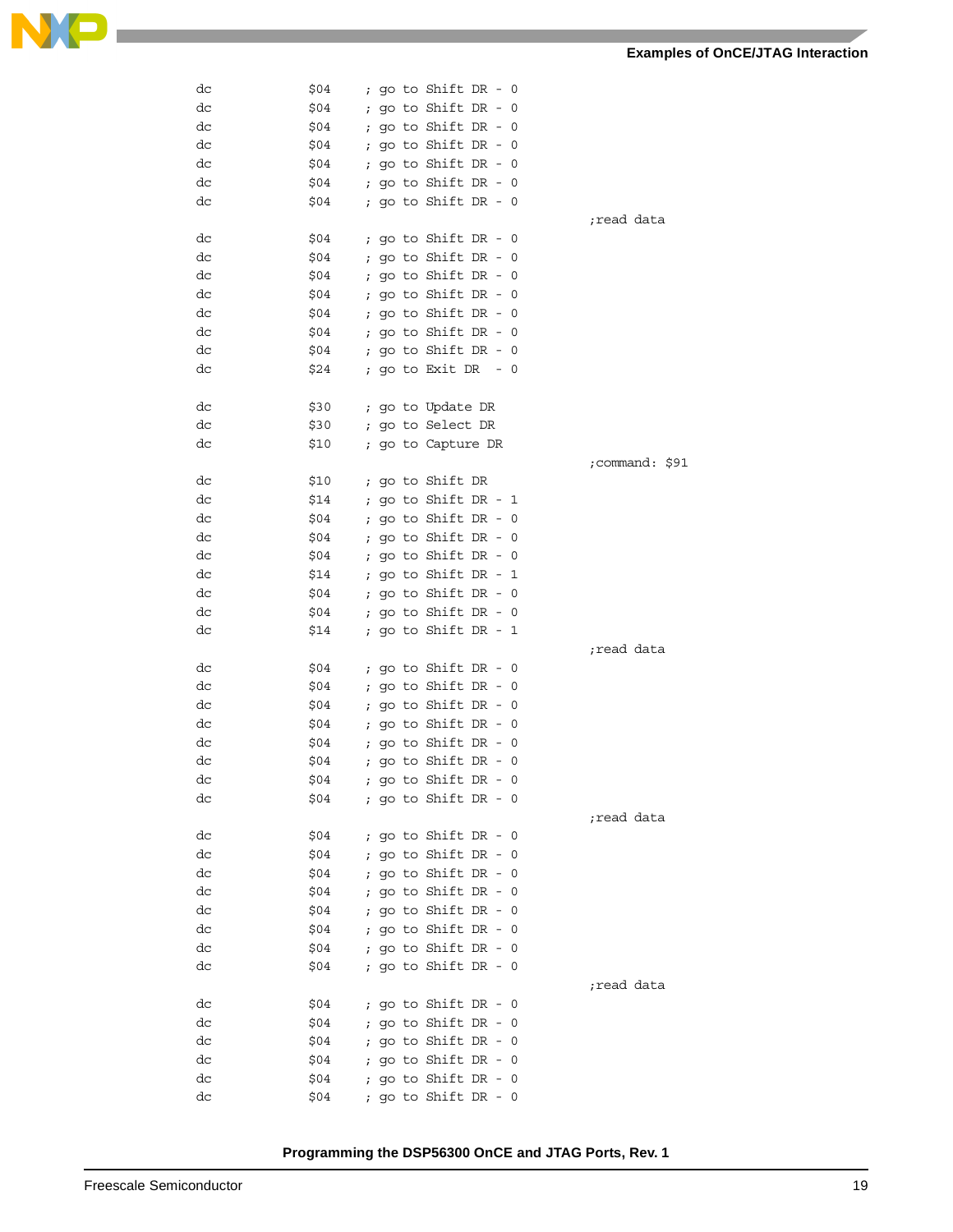| dc | \$04 | ; go to Shift DR - 0   |                |
|----|------|------------------------|----------------|
| dc | \$04 | ; go to Shift DR - 0   |                |
| dc | \$04 | ; go to Shift DR - $0$ |                |
| dc | \$04 | ; go to Shift DR - $0$ |                |
| dc | \$04 | ; go to Shift DR - $0$ |                |
| dc | \$04 | ; go to Shift DR - $0$ |                |
| dc | \$04 | ; go to Shift DR - $0$ |                |
|    |      |                        | read data;     |
| dc | \$04 | ; go to Shift DR - 0   |                |
| dc | \$04 | ; go to Shift DR - $0$ |                |
| dc | \$04 | ; go to Shift DR - $0$ |                |
| dc | \$04 | ; go to Shift DR - $0$ |                |
| dc | \$04 | ; go to Shift DR - $0$ |                |
| dc | \$04 | ; go to Shift DR - $0$ |                |
| dc | \$04 | ; go to Shift DR - $0$ |                |
| dc | \$24 | ; go to Exit DR<br>- 0 |                |
|    |      |                        |                |
| dc | \$30 | ; go to Update DR      |                |
| dc | \$30 | ; go to Select DR      |                |
| dc | \$10 | ; go to Capture DR     |                |
|    |      |                        | ;command: \$91 |
| dc | \$10 | ; go to Shift DR       |                |
| dc | \$14 | ; go to Shift DR - $1$ |                |
| dc | \$04 | ; go to Shift DR - $0$ |                |
| dc | \$04 | ; go to Shift DR - $0$ |                |
| dc | \$04 | ; go to Shift DR - $0$ |                |
| dc | \$14 | ; go to Shift DR - 1   |                |
| dc | \$04 | ; go to Shift DR - $0$ |                |
| dc | \$04 | ; go to Shift DR - $0$ |                |
| dc | \$14 | ; go to Shift DR - $1$ |                |
|    |      |                        | read data;     |
| dc | \$04 | ; go to Shift DR - 0   |                |
| dc | \$04 | ; go to Shift DR - $0$ |                |
| dc | \$04 | ; go to Shift DR - $0$ |                |
| dc | \$04 | ; go to Shift DR - $0$ |                |
| dc | \$04 | ; go to Shift DR - 0   |                |
| dc | \$04 | ; go to Shift DR - $0$ |                |
| dc | \$04 | ; go to Shift DR - $0$ |                |
| dc | \$04 | ; go to Shift $DR - 0$ |                |
|    |      |                        | read data;     |
| dc | \$04 | ; go to Shift DR - $0$ |                |
| dc | \$04 | ; go to Shift DR - 0   |                |
| dc | \$04 | ; go to Shift DR - 0   |                |
| dc | \$04 | ; go to Shift DR - 0   |                |
| dc | \$04 | ; go to Shift DR - 0   |                |
| dc | \$04 | ; go to Shift DR - 0   |                |
| dc | \$04 | ; go to Shift DR - 0   |                |
| dc | \$04 | ; go to Shift DR - 0   |                |
|    |      |                        | read data;     |
| dc | \$04 | ; go to Shift DR - $0$ |                |
| dc | \$04 | ; go to Shift DR - 0   |                |
| dc | \$04 | ; go to Shift DR - 0   |                |
| dc | \$04 | ; go to Shift DR - 0   |                |
| dc | \$04 | ; go to Shift DR - 0   |                |
| dc | \$04 | ; go to Shift DR - 0   |                |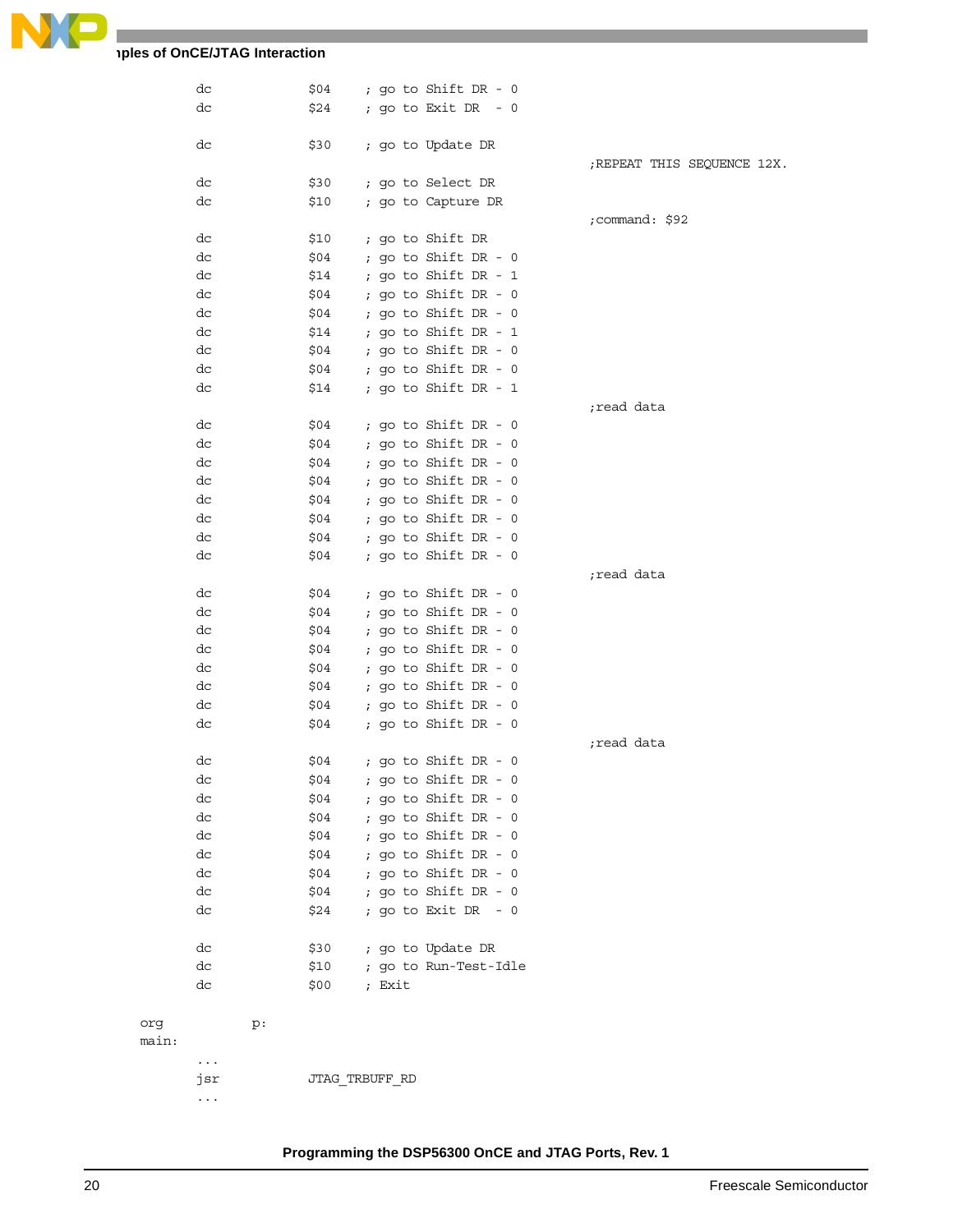

### **Thes of OnCE/JTAG Interaction**

|       | dc        | \$04 | ; go to Shift DR - $0$ |                             |
|-------|-----------|------|------------------------|-----------------------------|
|       | dc        | \$24 | ; go to Exit DR - 0    |                             |
|       |           |      |                        |                             |
|       | dc        | \$30 | ; go to Update DR      |                             |
|       |           |      |                        | ; REPEAT THIS SEQUENCE 12X. |
|       | dc        | \$30 | ; go to Select DR      |                             |
|       | dc        | \$10 | ; go to Capture DR     |                             |
|       |           |      |                        | ;command: \$92              |
|       | dc        | \$10 | ; go to Shift DR       |                             |
|       | dc        | \$04 | ; go to Shift DR - $0$ |                             |
|       | dc        | \$14 | ; go to Shift DR - 1   |                             |
|       | dc        | \$04 | ; go to Shift DR - 0   |                             |
|       | dc        | \$04 | ; go to Shift DR - 0   |                             |
|       | dc        | \$14 | ; go to Shift DR - 1   |                             |
|       | dc        | \$04 | ; go to Shift DR - 0   |                             |
|       | dc        | \$04 | ; go to Shift DR - 0   |                             |
|       | dc        | \$14 | ; go to Shift DR - 1   |                             |
|       |           |      |                        | read data;                  |
|       | dc        | \$04 | ; go to Shift DR - $0$ |                             |
|       | dc        | \$04 | ; go to Shift DR - $0$ |                             |
|       | dc        | \$04 | ; go to Shift DR - 0   |                             |
|       | dc        | \$04 | ; go to Shift DR - 0   |                             |
|       | dc        | \$04 | ; go to Shift DR - $0$ |                             |
|       | dc        | \$04 | ; go to Shift DR - $0$ |                             |
|       | dc        | \$04 | ; go to Shift DR - 0   |                             |
|       | dc        | \$04 | ; go to Shift DR - 0   |                             |
|       |           |      |                        | read data;                  |
|       | dc        | \$04 | ; go to Shift DR - $0$ |                             |
|       |           |      |                        |                             |
|       | dc        | \$04 | ; go to Shift DR - 0   |                             |
|       | dc        | \$04 | ; go to Shift DR - 0   |                             |
|       | dc        | \$04 | ; go to Shift DR - 0   |                             |
|       | dc        | \$04 | ; go to Shift DR - 0   |                             |
|       | dc        | \$04 | ; go to Shift DR - 0   |                             |
|       | dc        | \$04 | ; go to Shift DR - 0   |                             |
|       | dc        | \$04 | ; go to Shift DR - 0   |                             |
|       |           |      |                        | read data;                  |
|       | dc        | \$04 | ; go to Shift $DR - 0$ |                             |
|       | dc        | \$04 | ; go to Shift DR - 0   |                             |
|       | dc        | \$04 | ; go to Shift DR - 0   |                             |
|       | dc        | \$04 | ; go to Shift DR - 0   |                             |
|       | dc        | \$04 | ; go to Shift DR - 0   |                             |
|       | dc        | \$04 | ; go to Shift DR - 0   |                             |
|       | dc        | \$04 | ; go to Shift DR - 0   |                             |
|       | dc        | \$04 | ; go to Shift DR - 0   |                             |
|       | dc        | \$24 | ; go to Exit DR - 0    |                             |
|       |           |      |                        |                             |
|       | dc        | \$30 | ; go to Update DR      |                             |
|       | dc        | \$10 | ; go to Run-Test-Idle  |                             |
|       | dc        | \$00 | ; Exit                 |                             |
|       |           |      |                        |                             |
| org   | p:        |      |                        |                             |
| main: |           |      |                        |                             |
|       | $\ddotsc$ |      |                        |                             |
|       | jsr       |      | JTAG TRBUFF RD         |                             |
|       | $\ddotsc$ |      |                        |                             |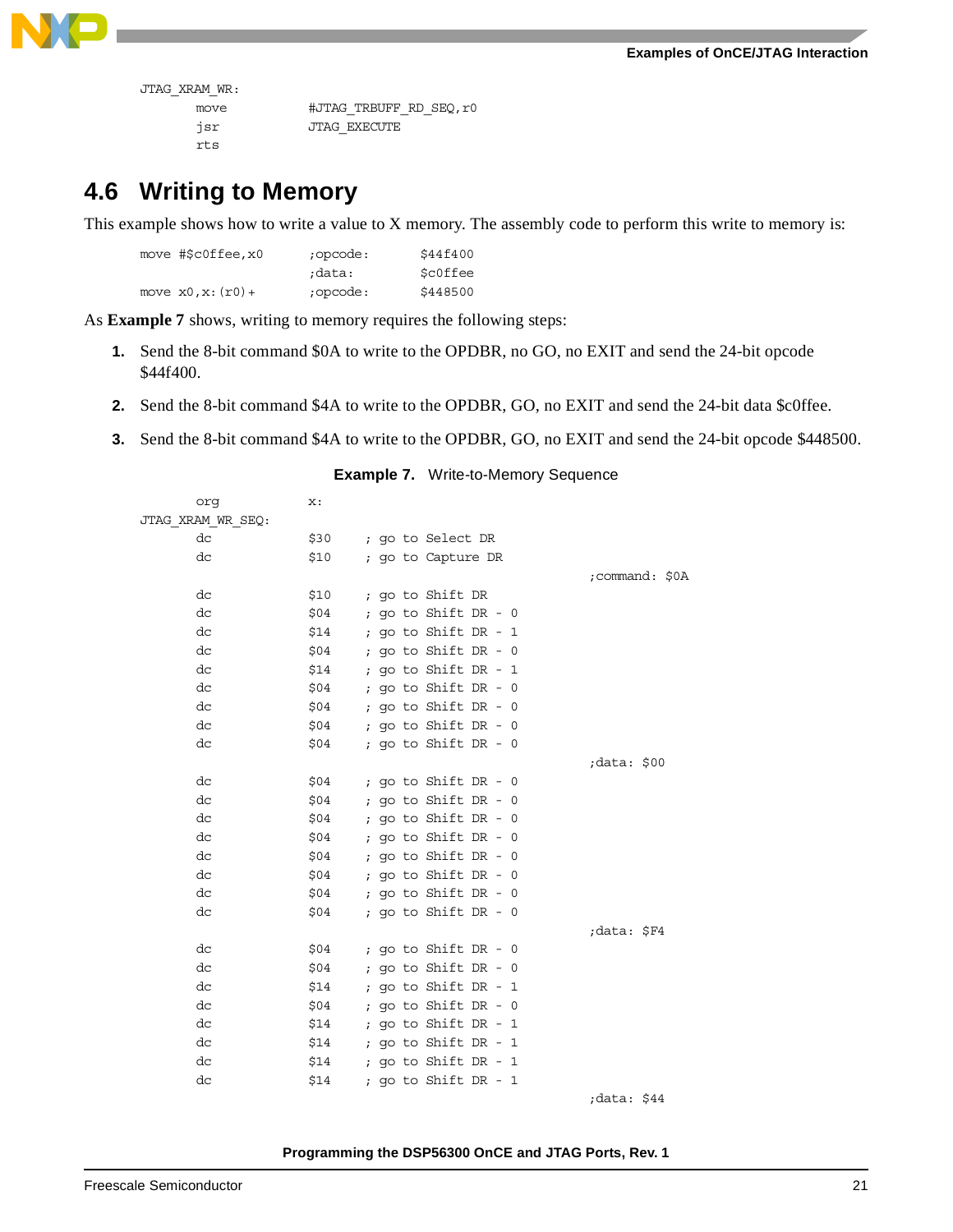

| JTAG XRAM WR: |  |
|---------------|--|
|               |  |

| move | #JTAG TRBUFF RD SEO, r0 |
|------|-------------------------|
| isr  | JTAG EXECUTE            |
| rt s |                         |

### **4.6 Writing to Memory**

This example shows how to write a value to X memory. The assembly code to perform this write to memory is:

| move #\$c0ffee, x0   | ;opcode: | \$44f400 |
|----------------------|----------|----------|
|                      | data:    | \$c0ffee |
| move $x0, x: (r0) +$ | ;opcode: | \$448500 |

As **[Example 7](#page-20-0)** shows, writing to memory requires the following steps:

- **1.** Send the 8-bit command \$0A to write to the OPDBR, no GO, no EXIT and send the 24-bit opcode \$44f400.
- **2.** Send the 8-bit command \$4A to write to the OPDBR, GO, no EXIT and send the 24-bit data \$c0ffee.
- <span id="page-20-0"></span>**3.** Send the 8-bit command \$4A to write to the OPDBR, GO, no EXIT and send the 24-bit opcode \$448500.

| org               | x:   |                        |                |
|-------------------|------|------------------------|----------------|
| JTAG XRAM WR SEQ: |      |                        |                |
| dc                | \$30 | ; go to Select DR      |                |
| dc                | \$10 | ; go to Capture DR     |                |
|                   |      |                        | ;command: \$0A |
| dc                | \$10 | ; go to Shift DR       |                |
| dc                | \$04 | ; go to Shift DR - $0$ |                |
| dc                | \$14 | ; go to Shift DR - $1$ |                |
| dc                | \$04 | ; go to Shift $DR - 0$ |                |
| dc                | \$14 | ; go to Shift DR - $1$ |                |
| dc                | \$04 | ; go to Shift $DR - 0$ |                |
| dc                | \$04 | ; go to Shift $DR - 0$ |                |
| dc                | \$04 | ; go to Shift DR - $0$ |                |
| dc                | \$04 | ; go to Shift $DR - 0$ |                |
|                   |      |                        | data: \$00;    |
| dc                | \$04 | ; go to Shift DR - $0$ |                |
| dc                | \$04 | ; go to Shift DR - $0$ |                |
| dc                | \$04 | ; go to Shift DR - 0   |                |
| dc                | \$04 | ; go to Shift DR - $0$ |                |
| dc                | \$04 | ; go to Shift $DR - 0$ |                |
| dc                | \$04 | ; go to Shift $DR - 0$ |                |
| dc                | \$04 | ; go to Shift DR - $0$ |                |
| dc                | \$04 | ; go to Shift $DR - 0$ |                |
|                   |      |                        | ;data: \$F4    |
| dc                | \$04 | ; go to Shift DR - $0$ |                |
| dc                | \$04 | ; go to Shift $DR - 0$ |                |
| dc                | \$14 | ; go to Shift DR - 1   |                |
| dc                | \$04 | ; go to Shift DR - $0$ |                |
| dc                | \$14 | ; go to Shift $DR - 1$ |                |
| dc                | \$14 | ; go to Shift DR - $1$ |                |
| dc                | \$14 | ; go to Shift DR - $1$ |                |
| dc                | \$14 | ; go to Shift DR - $1$ |                |
|                   |      |                        |                |

#### **Example 7.** Write-to-Memory Sequence

;data: \$44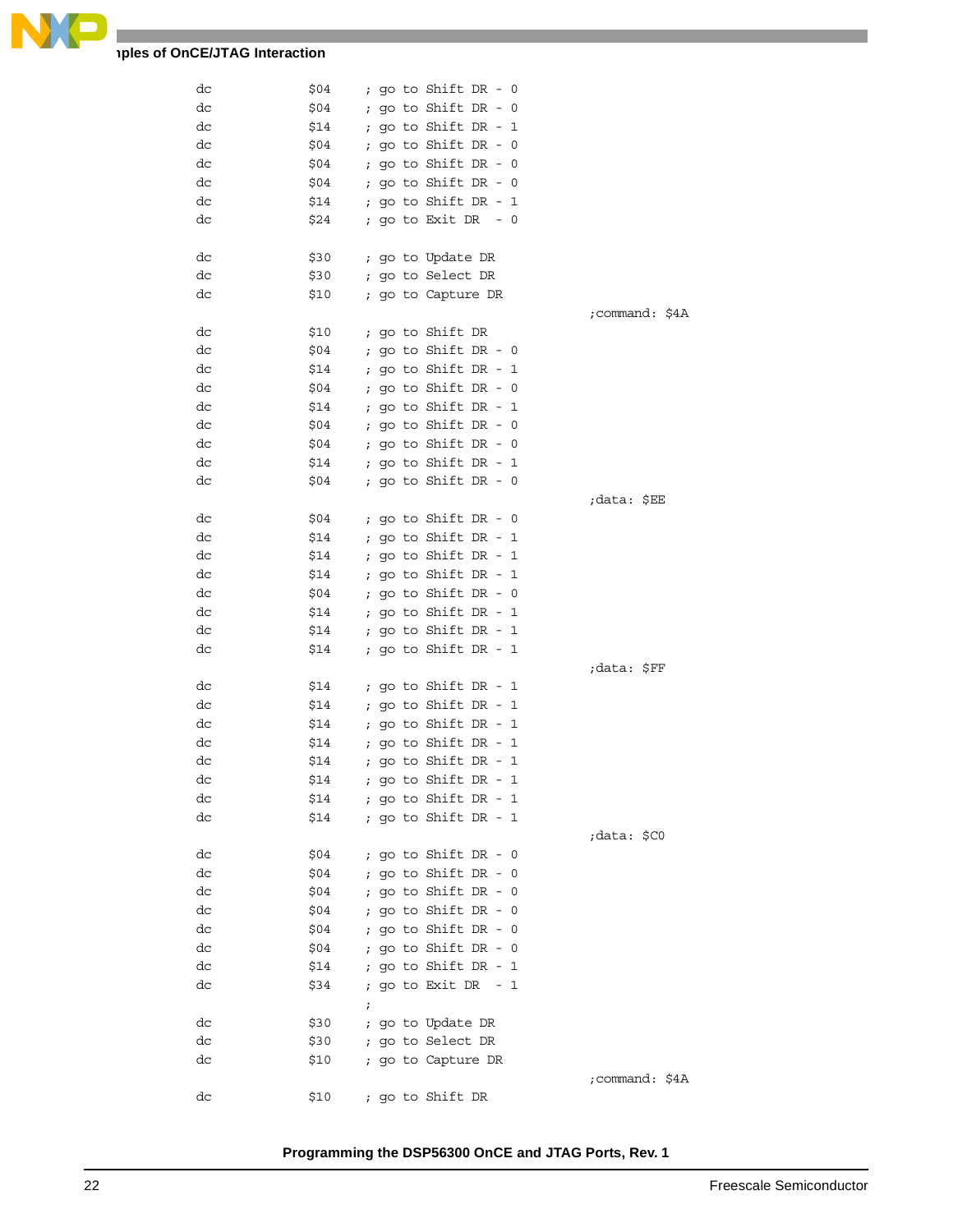

### **Examples of OnCE/JTAG Interaction**

| dc | \$04 |            |  | ; go to Shift DR - 0       |                |
|----|------|------------|--|----------------------------|----------------|
| dc | \$04 |            |  | ; go to Shift DR - $0$     |                |
| dc | \$14 |            |  | ; go to Shift DR - $1$     |                |
| dc | \$04 |            |  | ; go to Shift DR - $0$     |                |
| dc | \$04 |            |  | ; go to Shift $DR - 0$     |                |
| dc | \$04 |            |  | ; go to Shift $DR - 0$     |                |
| dc | \$14 |            |  | ; go to Shift DR - $1$     |                |
| dc | \$24 |            |  | ; go to Exit DR $-0$       |                |
|    |      |            |  |                            |                |
|    |      |            |  |                            |                |
| dc | \$30 |            |  | ; go to Update DR          |                |
| dc | \$30 |            |  | ; go to Select DR          |                |
| dc | \$10 |            |  | ; go to Capture DR         |                |
|    |      |            |  |                            | ;command: \$4A |
| dc | \$10 |            |  | ; go to Shift DR           |                |
| dc | \$04 |            |  | ; go to Shift DR - $0$     |                |
| dc | \$14 |            |  | ; go to Shift DR - $1$     |                |
| dc | \$04 |            |  | ; go to Shift $DR - 0$     |                |
| dc | \$14 |            |  | ; go to Shift DR - 1       |                |
| dc | \$04 |            |  | ; go to Shift DR - $0$     |                |
| dc | \$04 |            |  | ; go to Shift $DR - 0$     |                |
| dc | \$14 |            |  | ; go to Shift DR - 1       |                |
| dc | \$04 |            |  | ; go to Shift DR - $0$     |                |
|    |      |            |  |                            | ;data: \$EE    |
| dc | \$04 |            |  | ; go to Shift DR - 0       |                |
| dc | \$14 |            |  | ; go to Shift DR - $1$     |                |
| dc | \$14 |            |  | ; go to Shift DR - $1$     |                |
| dc | \$14 |            |  | ; go to Shift DR - $1$     |                |
|    |      |            |  |                            |                |
| dc | \$04 |            |  | ; go to Shift DR - $0$     |                |
| dc | \$14 |            |  | ; go to Shift DR - $1$     |                |
| dc | \$14 |            |  | ; go to Shift DR - $1$     |                |
| dc | \$14 |            |  | ; go to Shift DR - $1$     |                |
|    |      |            |  |                            | ;data: \$FF    |
| dc | \$14 |            |  | ; go to Shift DR - 1       |                |
| dc | \$14 |            |  | ; go to Shift DR - $1$     |                |
| dc | \$14 |            |  | ; go to Shift DR - $1$     |                |
| dc | \$14 |            |  | ; go to Shift $DR - 1$     |                |
| dc | \$14 |            |  | ; go to Shift DR - $1$     |                |
| dc | \$14 |            |  | ; go to Shift DR - 1       |                |
| dc |      |            |  | $$14$ ; go to Shift DR - 1 |                |
| dc | \$14 |            |  | ; go to Shift DR - 1       |                |
|    |      |            |  |                            | data: \$C0;    |
| dc | \$04 |            |  | ; go to Shift DR - 0       |                |
| dc | \$04 |            |  | ; go to Shift DR - 0       |                |
| dc | \$04 |            |  | ; go to Shift DR - 0       |                |
| dc | \$04 |            |  | ; go to Shift DR - $0$     |                |
| dc | \$04 |            |  | ; go to Shift DR - 0       |                |
| dc | \$04 |            |  | ; go to Shift DR - 0       |                |
| dc | \$14 |            |  | ; go to Shift DR - 1       |                |
|    |      |            |  |                            |                |
| dc | \$34 |            |  | ; go to Exit DR - 1        |                |
|    |      | $\ddot{i}$ |  |                            |                |
| dc | \$30 |            |  | ; go to Update DR          |                |
| dc | \$30 |            |  | ; go to Select DR          |                |
| dс | \$10 |            |  | ; go to Capture DR         |                |
|    |      |            |  |                            | ;command: \$4A |
| dc |      |            |  | \$10 ; go to Shift DR      |                |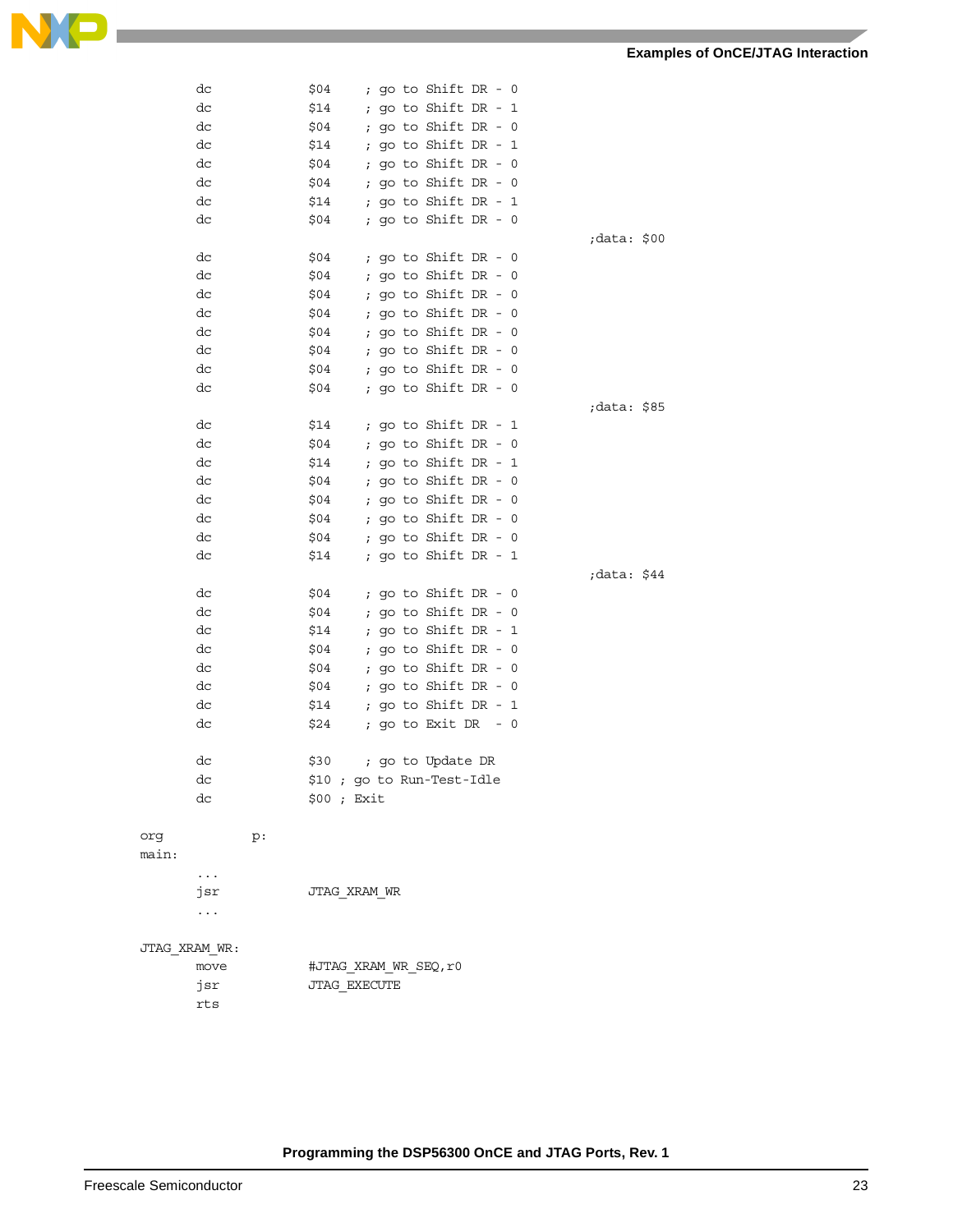|              | dc            |    | \$04 |              |  | ; go to Shift DR - 0       |  |             |  |
|--------------|---------------|----|------|--------------|--|----------------------------|--|-------------|--|
|              | dc            |    | \$14 |              |  | ; go to Shift DR - 1       |  |             |  |
|              | dc            |    | \$04 |              |  | ; go to Shift DR - 0       |  |             |  |
|              | dc            |    | \$14 |              |  | ; go to Shift DR - 1       |  |             |  |
|              | dc            |    | \$04 |              |  | ; go to Shift DR - 0       |  |             |  |
|              | dc            |    | \$04 |              |  | ; go to Shift DR - $0$     |  |             |  |
|              | dc            |    | \$14 |              |  | ; go to Shift DR - 1       |  |             |  |
|              | dc            |    | \$04 |              |  | ; go to Shift DR - $0$     |  |             |  |
|              |               |    |      |              |  |                            |  | data: \$00; |  |
|              | dc            |    | \$04 |              |  | ; go to Shift DR - $0$     |  |             |  |
|              | dc            |    | \$04 |              |  | ; go to Shift DR - $0$     |  |             |  |
|              | dc            |    | \$04 |              |  | ; go to Shift DR - $0$     |  |             |  |
|              | dc            |    | \$04 |              |  | ; go to Shift DR - $0$     |  |             |  |
|              | dc            |    | \$04 |              |  | ; go to Shift DR - $0$     |  |             |  |
|              | dc            |    | \$04 |              |  | ; go to Shift DR - $0$     |  |             |  |
|              | dc            |    | \$04 |              |  | ; go to Shift DR - 0       |  |             |  |
|              | dc            |    | \$04 |              |  | ; go to Shift DR - $0$     |  |             |  |
|              |               |    |      |              |  |                            |  | data: \$85; |  |
|              | dc            |    | \$14 |              |  | ; go to Shift DR - 1       |  |             |  |
|              | dc            |    | \$04 |              |  | ; go to Shift DR - 0       |  |             |  |
|              | dc            |    | \$14 |              |  | ; go to Shift DR - $1$     |  |             |  |
|              | dc            |    | \$04 |              |  | ; go to Shift DR - 0       |  |             |  |
|              | dc            |    | \$04 |              |  | ; go to Shift DR - $0$     |  |             |  |
|              | dc            |    | \$04 |              |  | ; go to Shift DR - $0$     |  |             |  |
|              | dc            |    | \$04 |              |  | ; go to Shift DR - 0       |  |             |  |
|              | dc            |    | \$14 |              |  | ; go to Shift DR - $1$     |  |             |  |
|              |               |    |      |              |  |                            |  | ;data: \$44 |  |
|              | dc            |    | \$04 |              |  | ; go to Shift DR - $0$     |  |             |  |
|              | dc            |    | \$04 |              |  | ; go to Shift DR - 0       |  |             |  |
|              | dc            |    | \$14 |              |  | ; go to Shift DR - 1       |  |             |  |
|              | dc            |    | \$04 |              |  | ; go to Shift DR - 0       |  |             |  |
|              | dc            |    | \$04 |              |  | ; go to Shift DR - $0$     |  |             |  |
|              | dc            |    | \$04 |              |  | ; go to Shift DR - $0$     |  |             |  |
|              | dc            |    | \$14 |              |  | ; go to Shift DR - 1       |  |             |  |
|              | dc            |    | \$24 |              |  | ; go to Exit DR $-0$       |  |             |  |
|              |               |    |      |              |  |                            |  |             |  |
|              | dc            |    | \$30 |              |  | ; go to Update DR          |  |             |  |
|              | dс            |    |      |              |  | \$10 ; go to Run-Test-Idle |  |             |  |
|              | dc            |    |      | \$00 ; Exit  |  |                            |  |             |  |
|              |               |    |      |              |  |                            |  |             |  |
| org<br>main: |               | p: |      |              |  |                            |  |             |  |
|              | .             |    |      |              |  |                            |  |             |  |
|              | jsr           |    |      | JTAG XRAM WR |  |                            |  |             |  |
|              | .             |    |      |              |  |                            |  |             |  |
|              |               |    |      |              |  |                            |  |             |  |
|              | JTAG XRAM WR: |    |      |              |  |                            |  |             |  |
|              | move          |    |      |              |  | #JTAG XRAM WR SEQ,r0       |  |             |  |
|              | jsr           |    |      | JTAG EXECUTE |  |                            |  |             |  |
|              | rts           |    |      |              |  |                            |  |             |  |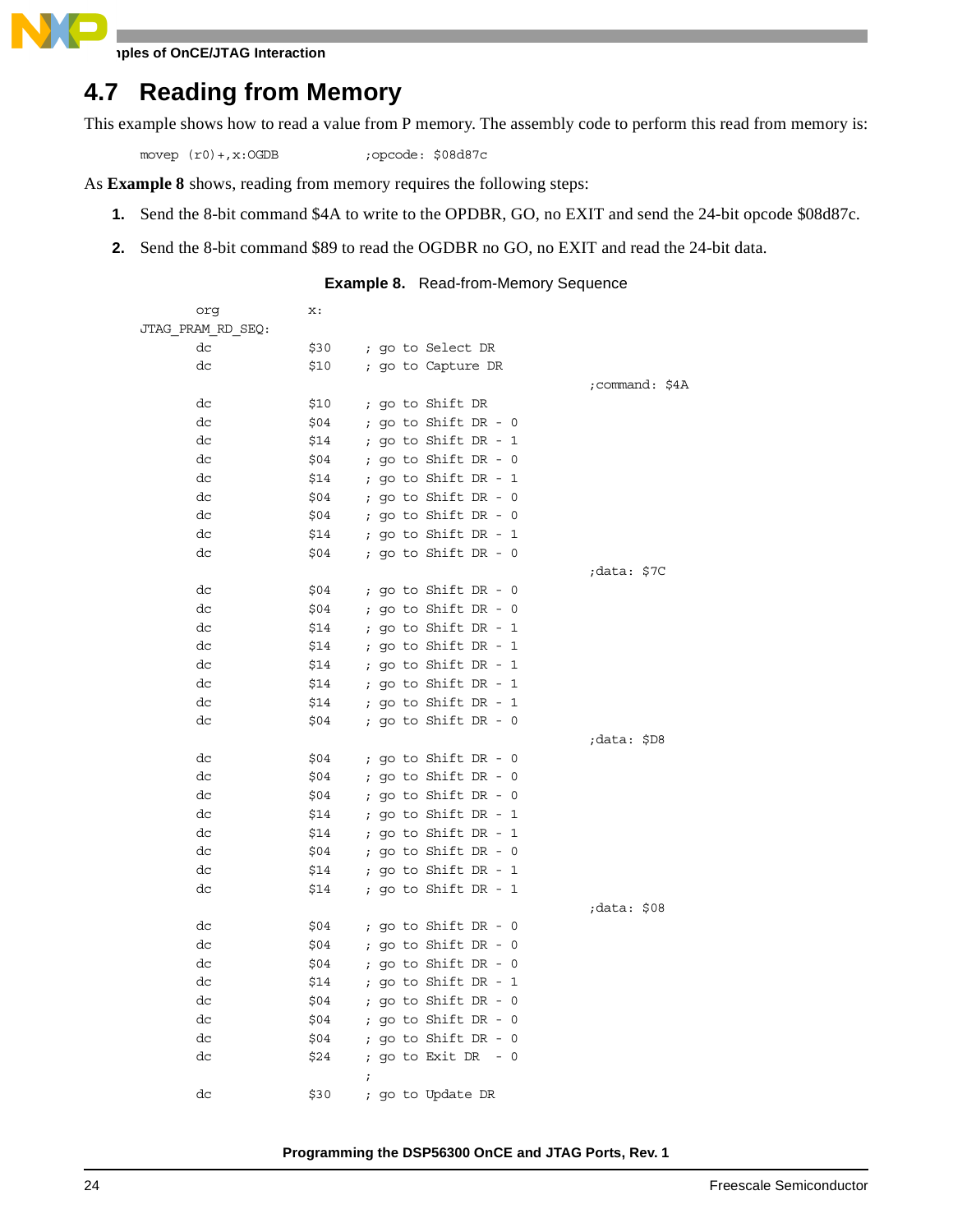$\blacksquare$ 

### **4.7 Reading from Memory**

This example shows how to read a value from P memory. The assembly code to perform this read from memory is:

movep (r0) +, x: OGDB ; opcode: \$08d87c

As **[Example 8](#page-23-0)** shows, reading from memory requires the following steps:

- **1.** Send the 8-bit command \$4A to write to the OPDBR, GO, no EXIT and send the 24-bit opcode \$08d87c.
- <span id="page-23-0"></span>**2.** Send the 8-bit command \$89 to read the OGDBR no GO, no EXIT and read the 24-bit data.

### **Example 8.** Read-from-Memory Sequence

| org               | x:   |                          |                |
|-------------------|------|--------------------------|----------------|
| JTAG PRAM RD SEQ: |      |                          |                |
| dc                | \$30 | ; go to Select DR        |                |
| dc                | \$10 | ; go to Capture DR       |                |
|                   |      |                          | ;command: \$4A |
| dc                | \$10 | ; go to Shift DR         |                |
| dc                | \$04 | ; go to Shift DR - $0$   |                |
| dc                | \$14 | ; go to Shift DR - 1     |                |
| dc                | \$04 | ; go to Shift DR - $0$   |                |
| dc                | \$14 | ; go to Shift DR - 1     |                |
| dc                | \$04 | ; go to Shift DR - 0     |                |
| dc                | \$04 | ; go to Shift DR - 0     |                |
| dc                | \$14 | ; go to Shift DR - 1     |                |
| dc                | \$04 | ; go to Shift DR - $0$   |                |
|                   |      |                          | ;data: \$7C    |
| dc                | \$04 | ; go to Shift DR - $0$   |                |
| dc                | \$04 | ; go to Shift DR - $0$   |                |
| dc                | \$14 | ; go to Shift DR - 1     |                |
| dc                | \$14 | ; go to Shift DR - $1$   |                |
| dc                | \$14 | ; go to Shift DR - $1$   |                |
| dc                | \$14 | ; go to Shift DR - 1     |                |
| dc                | \$14 | ; go to Shift DR - $1$   |                |
| dc                | \$04 | ; go to Shift DR - $0$   |                |
|                   |      |                          | ;data: \$D8    |
| dc                | \$04 | ; go to Shift DR - 0     |                |
| dc                | \$04 | ; go to Shift DR - 0     |                |
| dc                | \$04 | ; go to Shift DR - $0$   |                |
| dc                | \$14 | ; go to Shift DR - $1$   |                |
| dc                | \$14 | ; go to Shift DR - 1     |                |
| dc                | \$04 | ; go to Shift DR - 0     |                |
| dc                | \$14 | ; go to Shift DR - 1     |                |
| dc                | \$14 | ; go to Shift DR - 1     |                |
|                   |      |                          | data: \$08;    |
| dc                | \$04 | ; go to Shift DR - 0     |                |
| dc                | \$04 | ; go to Shift DR - $0$   |                |
| dc                | \$04 | ; go to Shift DR - $0$   |                |
| dc                | \$14 | ; go to Shift DR - 1     |                |
| dc                | \$04 | ; go to Shift DR - $0$   |                |
| dc                | \$04 | ; go to Shift DR - $0$   |                |
| dc                | \$04 | ; go to Shift DR - 0     |                |
| dc                | \$24 | ; go to Exit DR<br>$- 0$ |                |
|                   |      | $\ddot{i}$               |                |
| dc                | \$30 | go to Update DR          |                |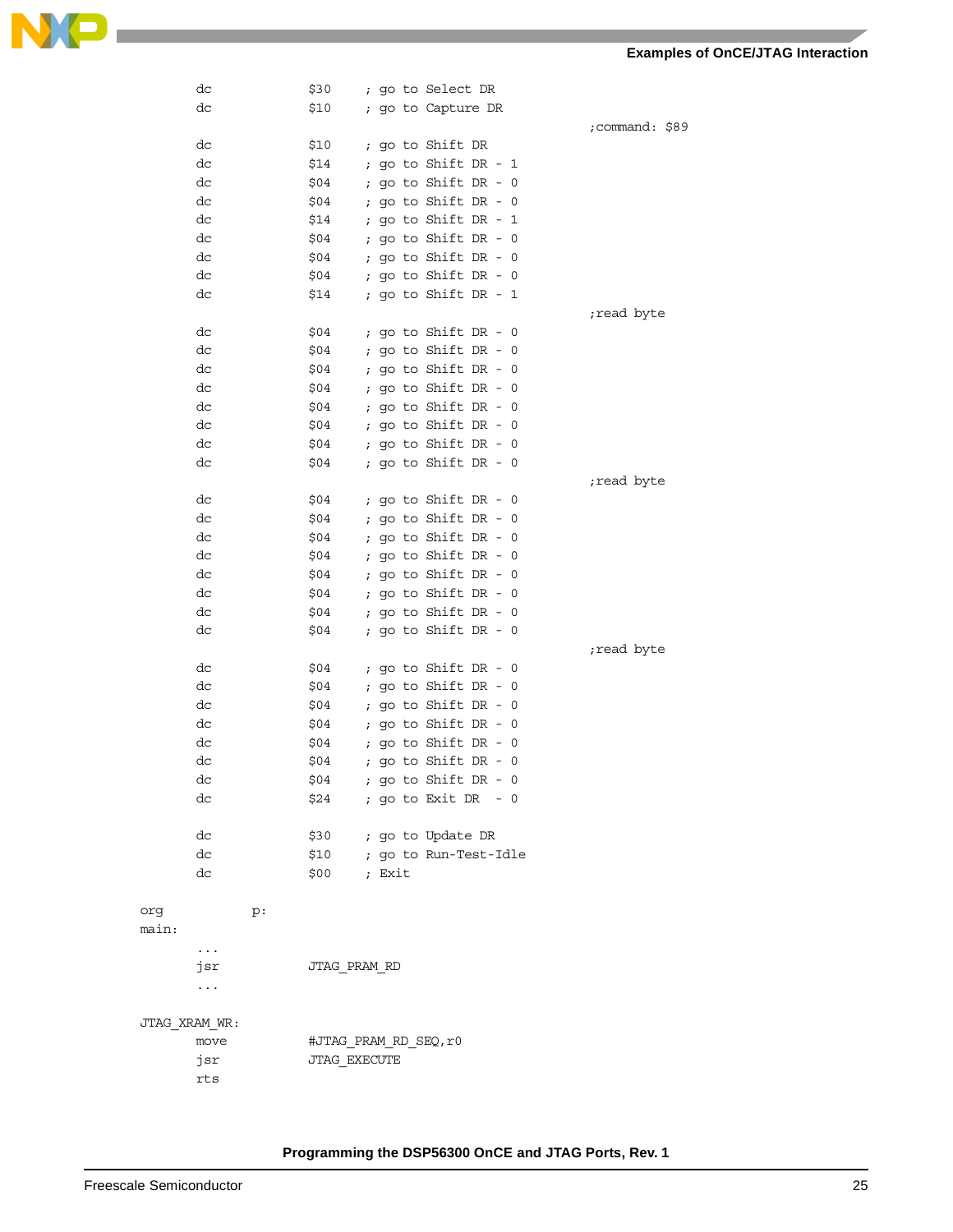#### **Examples of OnCE/JTAG Interaction**



|               | dc        |    | \$30                  |              |        |  | ; go to Select DR                            |  |  |  |            |                |
|---------------|-----------|----|-----------------------|--------------|--------|--|----------------------------------------------|--|--|--|------------|----------------|
|               | dc        |    | \$10                  |              |        |  | ; go to Capture DR                           |  |  |  |            |                |
|               |           |    |                       |              |        |  |                                              |  |  |  |            | ;command: \$89 |
|               | dc        |    | \$10                  |              |        |  | ; go to Shift DR                             |  |  |  |            |                |
|               | dc        |    | \$14                  |              |        |  | ; go to Shift DR - $1$                       |  |  |  |            |                |
|               | dc        |    | \$04                  |              |        |  | ; go to Shift DR - $0$                       |  |  |  |            |                |
|               | dc        |    | \$04                  | $\mathbf{r}$ |        |  | go to Shift DR - 0                           |  |  |  |            |                |
|               | dc        |    | \$14                  | $\ddot{i}$   |        |  | go to Shift DR - 1                           |  |  |  |            |                |
|               | dc        |    | \$04                  | $\ddot{i}$   |        |  | go to Shift DR - 0                           |  |  |  |            |                |
|               | dc        |    | \$04                  |              |        |  | ; go to Shift DR - 0                         |  |  |  |            |                |
|               | dc        |    | \$04                  |              |        |  | ; go to Shift DR - 0                         |  |  |  |            |                |
|               | dc        |    | \$14                  |              |        |  | ; go to Shift DR - 1                         |  |  |  |            |                |
|               |           |    |                       |              |        |  |                                              |  |  |  | read byte; |                |
|               | dc        |    | \$04                  |              |        |  | ; go to Shift DR - $0$                       |  |  |  |            |                |
|               | dc<br>dc  |    | \$04                  |              |        |  | ; go to Shift DR - 0<br>; go to Shift DR - 0 |  |  |  |            |                |
|               | dc        |    | \$04<br>\$04          |              |        |  | ; go to Shift DR - 0                         |  |  |  |            |                |
|               | dc        |    | \$04                  |              |        |  | ; go to Shift DR - 0                         |  |  |  |            |                |
|               | dc        |    | \$04                  |              |        |  | ; go to Shift DR - 0                         |  |  |  |            |                |
|               | dc        |    | \$04                  |              |        |  | ; go to Shift DR - 0                         |  |  |  |            |                |
|               | dc        |    | \$04                  |              |        |  | ; go to Shift DR - 0                         |  |  |  |            |                |
|               |           |    |                       |              |        |  |                                              |  |  |  | read byte; |                |
|               | dc        |    | \$04                  |              |        |  | ; go to Shift DR - $0$                       |  |  |  |            |                |
|               | dc        |    | \$04                  |              |        |  | ; go to Shift DR - 0                         |  |  |  |            |                |
|               | dc        |    | \$04                  |              |        |  | ; go to Shift DR - 0                         |  |  |  |            |                |
|               | dc        |    | \$04                  | $\ddot{ }$   |        |  | go to Shift DR - 0                           |  |  |  |            |                |
|               | dc        |    | \$04                  |              |        |  | ; go to Shift DR - 0                         |  |  |  |            |                |
|               | dc        |    | \$04                  |              |        |  | ; go to Shift DR - 0                         |  |  |  |            |                |
|               | dc        |    | \$04                  |              |        |  | ; go to Shift DR - 0                         |  |  |  |            |                |
|               | dc        |    | \$04                  |              |        |  | ; go to Shift DR - $0$                       |  |  |  |            |                |
|               |           |    |                       |              |        |  |                                              |  |  |  | read byte; |                |
|               | dc        |    | \$04                  |              |        |  | ; go to Shift $DR - 0$                       |  |  |  |            |                |
|               | dc        |    | \$04                  |              |        |  | ; go to Shift DR - 0                         |  |  |  |            |                |
|               | dc        |    | \$04                  |              |        |  | ; go to Shift DR - $0$                       |  |  |  |            |                |
|               | dc        |    | \$04                  |              |        |  | ; go to Shift DR - 0                         |  |  |  |            |                |
|               | dc        |    | \$04                  |              |        |  | ; go to Shift DR - $0$                       |  |  |  |            |                |
|               | dc        |    | \$04                  |              |        |  | ; go to Shift DR - 0                         |  |  |  |            |                |
|               | dc        |    | \$04                  |              |        |  | ; go to Shift DR - 0                         |  |  |  |            |                |
|               | dc        |    | \$24                  |              |        |  | ; go to Exit DR - 0                          |  |  |  |            |                |
|               |           |    |                       |              |        |  |                                              |  |  |  |            |                |
|               | dc        |    | \$30                  |              |        |  | ; go to Update DR                            |  |  |  |            |                |
|               | dc        |    | \$10                  |              |        |  | ; go to Run-Test-Idle                        |  |  |  |            |                |
|               | dc        |    | \$00                  |              | ; Exit |  |                                              |  |  |  |            |                |
|               |           |    |                       |              |        |  |                                              |  |  |  |            |                |
| org<br>main:  |           | p: |                       |              |        |  |                                              |  |  |  |            |                |
|               | .         |    |                       |              |        |  |                                              |  |  |  |            |                |
|               | jsr       |    | JTAG PRAM RD          |              |        |  |                                              |  |  |  |            |                |
|               | $\ddotsc$ |    |                       |              |        |  |                                              |  |  |  |            |                |
|               |           |    |                       |              |        |  |                                              |  |  |  |            |                |
| JTAG XRAM WR: |           |    |                       |              |        |  |                                              |  |  |  |            |                |
|               | move      |    | #JTAG PRAM RD SEQ, r0 |              |        |  |                                              |  |  |  |            |                |
|               | jsr       |    | JTAG EXECUTE          |              |        |  |                                              |  |  |  |            |                |
|               | rts       |    |                       |              |        |  |                                              |  |  |  |            |                |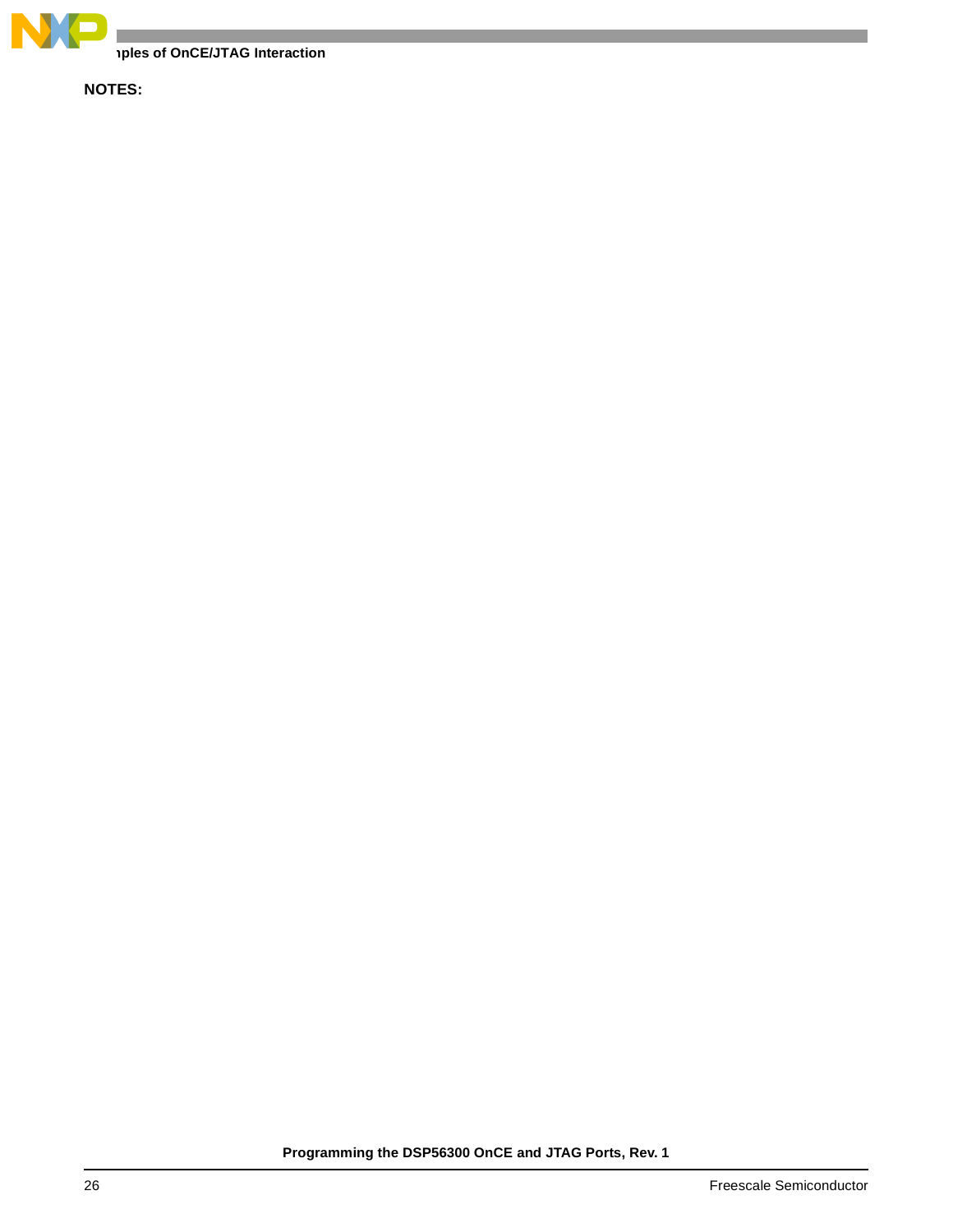

**Examples of OnCE/JTAG Interaction**

**NOTES:**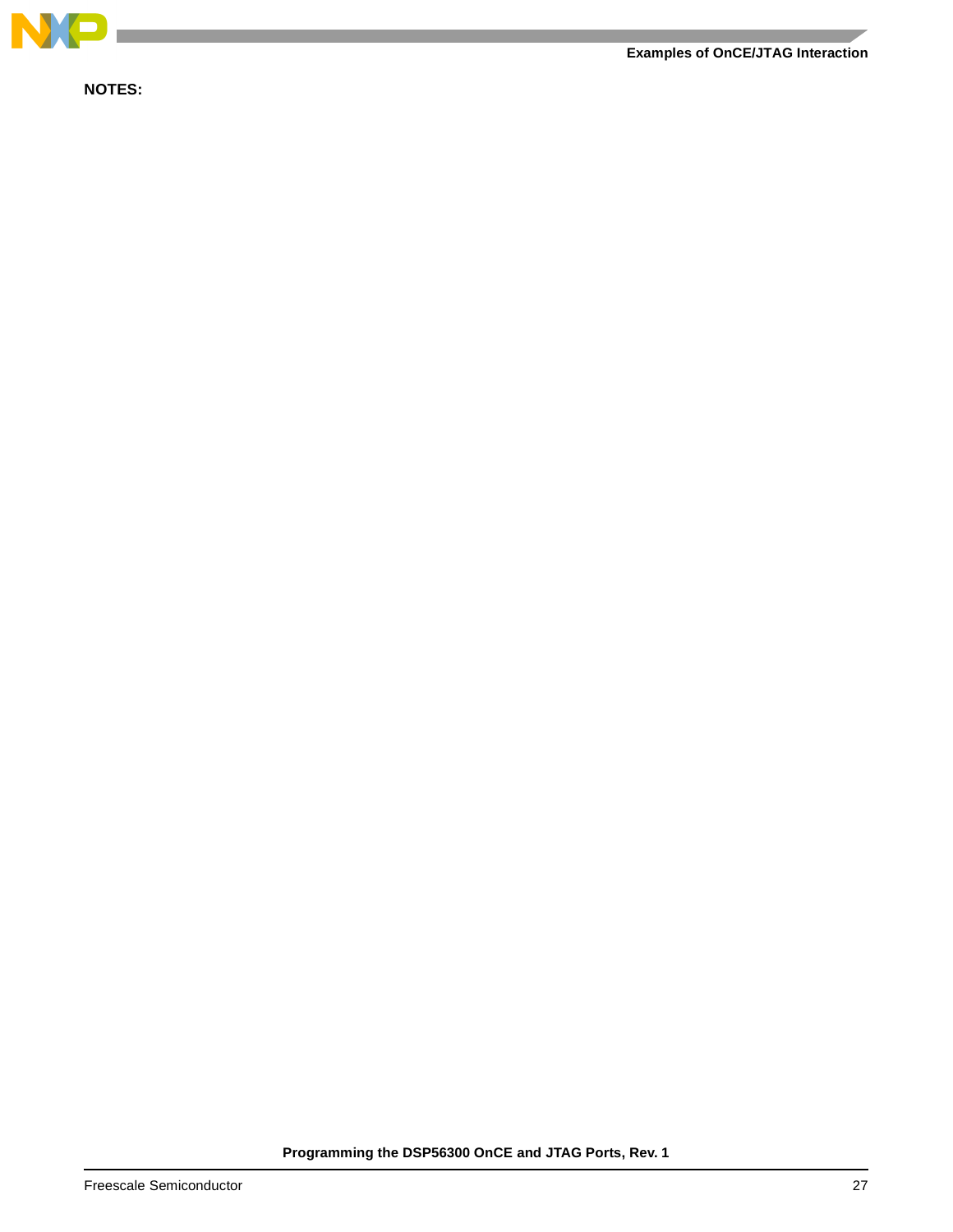

**NOTES:**

**Examples of OnCE/JTAG Interaction**